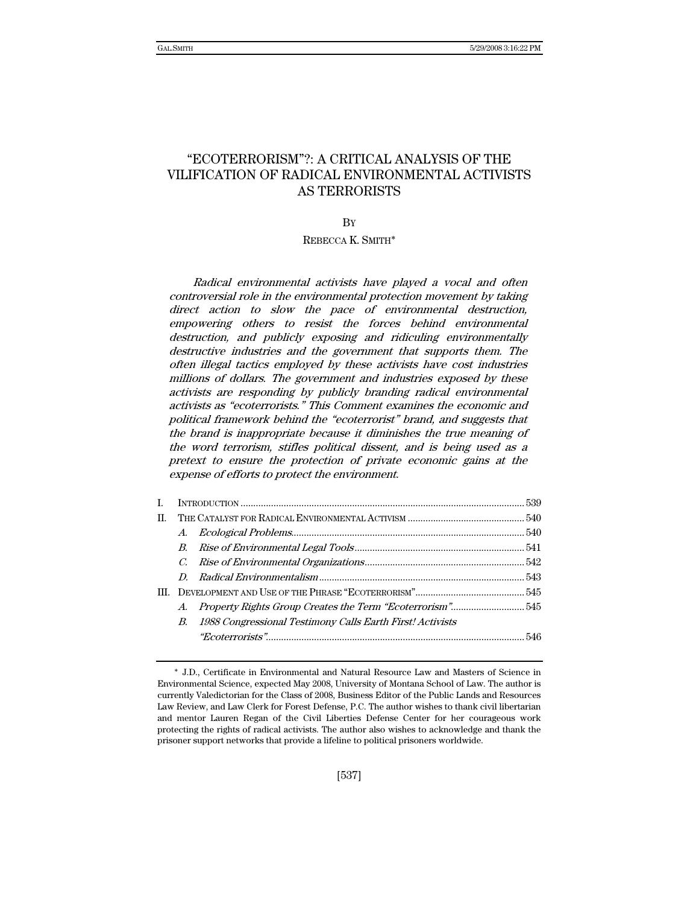# "ECOTERRORISM"?: A CRITICAL ANALYSIS OF THE VILIFICATION OF RADICAL ENVIRONMENTAL ACTIVISTS AS TERRORISTS

## BY

## REBECCA K. SMITH∗

Radical environmental activists have played a vocal and often controversial role in the environmental protection movement by taking direct action to slow the pace of environmental destruction, empowering others to resist the forces behind environmental destruction, and publicly exposing and ridiculing environmentally destructive industries and the government that supports them. The often illegal tactics employed by these activists have cost industries millions of dollars. The government and industries exposed by these activists are responding by publicly branding radical environmental activists as "ecoterrorists." This Comment examines the economic and political framework behind the "ecoterrorist" brand, and suggests that the brand is inappropriate because it diminishes the true meaning of the word terrorism, stifles political dissent, and is being used as a pretext to ensure the protection of private economic gains at the expense of efforts to protect the environment.

| П. |  |                                                              |  |  |  |
|----|--|--------------------------------------------------------------|--|--|--|
|    |  |                                                              |  |  |  |
|    |  |                                                              |  |  |  |
|    |  |                                                              |  |  |  |
|    |  |                                                              |  |  |  |
|    |  |                                                              |  |  |  |
|    |  | A. Property Rights Group Creates the Term "Ecoterrorism"545  |  |  |  |
|    |  | B. 1988 Congressional Testimony Calls Earth First! Activists |  |  |  |
|    |  |                                                              |  |  |  |
|    |  |                                                              |  |  |  |

<sup>∗</sup> J.D., Certificate in Environmental and Natural Resource Law and Masters of Science in Environmental Science, expected May 2008, University of Montana School of Law. The author is currently Valedictorian for the Class of 2008, Business Editor of the Public Lands and Resources Law Review, and Law Clerk for Forest Defense, P.C. The author wishes to thank civil libertarian and mentor Lauren Regan of the Civil Liberties Defense Center for her courageous work protecting the rights of radical activists. The author also wishes to acknowledge and thank the prisoner support networks that provide a lifeline to political prisoners worldwide.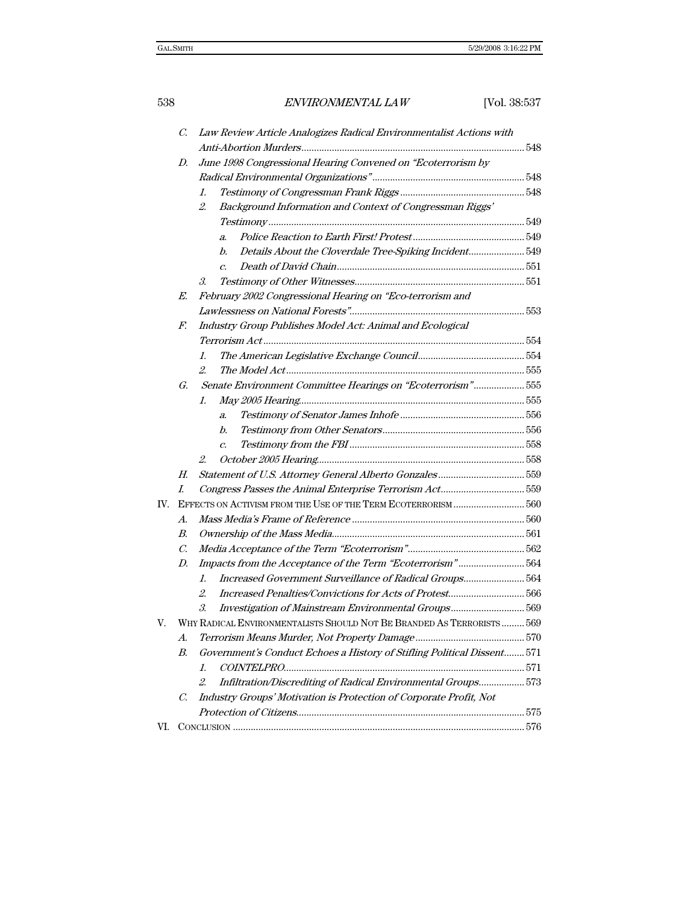| 538 |    |                                                                     | ENVIRONMENTAL LAW                                                       | [Vol. 38:537 |  |  |
|-----|----|---------------------------------------------------------------------|-------------------------------------------------------------------------|--------------|--|--|
|     | C. | Law Review Article Analogizes Radical Environmentalist Actions with |                                                                         |              |  |  |
|     |    |                                                                     |                                                                         |              |  |  |
|     | D. | June 1998 Congressional Hearing Convened on "Ecoterrorism by        |                                                                         |              |  |  |
|     |    |                                                                     |                                                                         |              |  |  |
|     |    | 1.                                                                  |                                                                         |              |  |  |
|     |    | 2.                                                                  | Background Information and Context of Congressman Riggs'                |              |  |  |
|     |    |                                                                     |                                                                         |              |  |  |
|     |    | a.                                                                  |                                                                         |              |  |  |
|     |    | b.                                                                  | Details About the Cloverdale Tree-Spiking Incident549                   |              |  |  |
|     |    | $\overline{c}$ .                                                    |                                                                         |              |  |  |
|     |    | 3.                                                                  |                                                                         |              |  |  |
|     | E. |                                                                     | February 2002 Congressional Hearing on "Eco-terrorism and               |              |  |  |
|     |    |                                                                     |                                                                         |              |  |  |
|     | F. |                                                                     | Industry Group Publishes Model Act: Animal and Ecological               |              |  |  |
|     |    |                                                                     |                                                                         |              |  |  |
|     |    | 1.                                                                  |                                                                         |              |  |  |
|     |    | $\mathcal{L}$                                                       |                                                                         |              |  |  |
|     | G. |                                                                     | Senate Environment Committee Hearings on "Ecoterrorism"555              |              |  |  |
|     |    | 1.                                                                  |                                                                         |              |  |  |
|     |    | a.                                                                  |                                                                         |              |  |  |
|     |    | b.                                                                  |                                                                         |              |  |  |
|     |    | $\overline{c}$ .                                                    |                                                                         |              |  |  |
|     |    | 2.                                                                  |                                                                         |              |  |  |
|     | Н. |                                                                     |                                                                         |              |  |  |
|     | L. |                                                                     | Congress Passes the Animal Enterprise Terrorism Act559                  |              |  |  |
| IV. |    | EFFECTS ON ACTIVISM FROM THE USE OF THE TERM ECOTERRORISM  560      |                                                                         |              |  |  |
|     | A. |                                                                     |                                                                         |              |  |  |
|     | В. |                                                                     |                                                                         |              |  |  |
|     | C. |                                                                     |                                                                         |              |  |  |
|     | D. |                                                                     | Impacts from the Acceptance of the Term "Ecoterrorism"564               |              |  |  |
|     |    | 1.                                                                  | Increased Government Surveillance of Radical Groups564                  |              |  |  |
|     |    | 2.                                                                  | Increased Penalties/Convictions for Acts of Protest566                  |              |  |  |
|     |    |                                                                     | 3. Investigation of Mainstream Environmental Groups569                  |              |  |  |
| V.  |    |                                                                     | WHY RADICAL ENVIRONMENTALISTS SHOULD NOT BE BRANDED AS TERRORISTS 569   |              |  |  |
|     | А. |                                                                     |                                                                         |              |  |  |
|     | В. |                                                                     | Government's Conduct Echoes a History of Stifling Political Dissent 571 |              |  |  |
|     |    | 1.                                                                  |                                                                         |              |  |  |
|     |    | 2.                                                                  | Infiltration/Discrediting of Radical Environmental Groups 573           |              |  |  |
|     | C. |                                                                     | Industry Groups' Motivation is Protection of Corporate Profit, Not      |              |  |  |
|     |    |                                                                     |                                                                         |              |  |  |
| VI. |    |                                                                     |                                                                         |              |  |  |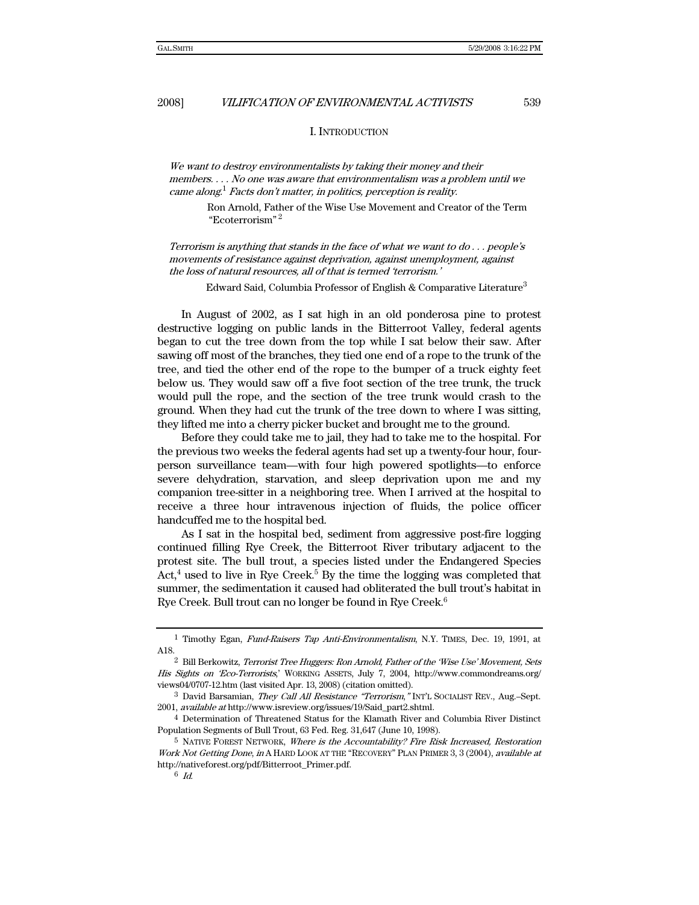I. INTRODUCTION

We want to destroy environmentalists by taking their money and their members. . . . No one was aware that environmentalism was a problem until we came along.<sup>1</sup> Facts don't matter, in politics, perception is reality.

Ron Arnold, Father of the Wise Use Movement and Creator of the Term "Ecoterrorism" <sup>2</sup>

Terrorism is anything that stands in the face of what we want to do . . . people's movements of resistance against deprivation, against unemployment, against the loss of natural resources, all of that is termed 'terrorism.'

Edward Said, Columbia Professor of English & Comparative Literature<sup>3</sup>

In August of 2002, as I sat high in an old ponderosa pine to protest destructive logging on public lands in the Bitterroot Valley, federal agents began to cut the tree down from the top while I sat below their saw. After sawing off most of the branches, they tied one end of a rope to the trunk of the tree, and tied the other end of the rope to the bumper of a truck eighty feet below us. They would saw off a five foot section of the tree trunk, the truck would pull the rope, and the section of the tree trunk would crash to the ground. When they had cut the trunk of the tree down to where I was sitting, they lifted me into a cherry picker bucket and brought me to the ground.

Before they could take me to jail, they had to take me to the hospital. For the previous two weeks the federal agents had set up a twenty-four hour, fourperson surveillance team—with four high powered spotlights—to enforce severe dehydration, starvation, and sleep deprivation upon me and my companion tree-sitter in a neighboring tree. When I arrived at the hospital to receive a three hour intravenous injection of fluids, the police officer handcuffed me to the hospital bed.

As I sat in the hospital bed, sediment from aggressive post-fire logging continued filling Rye Creek, the Bitterroot River tributary adjacent to the protest site. The bull trout, a species listed under the Endangered Species Act, $4$  used to live in Rye Creek.<sup>5</sup> By the time the logging was completed that summer, the sedimentation it caused had obliterated the bull trout's habitat in Rye Creek. Bull trout can no longer be found in Rye Creek.<sup>6</sup>

<sup>1</sup> Timothy Egan, Fund-Raisers Tap Anti-Environmentalism, N.Y. TIMES, Dec. 19, 1991, at A18.

<sup>2</sup> Bill Berkowitz, Terrorist Tree Huggers: Ron Arnold, Father of the 'Wise Use' Movement, Sets His Sights on 'Eco-Terrorists,' WORKING ASSETS, July 7, 2004, http://www.commondreams.org/ views04/0707-12.htm (last visited Apr. 13, 2008) (citation omitted).

<sup>&</sup>lt;sup>3</sup> David Barsamian, They Call All Resistance "Terrorism," INT'L SOCIALIST REV., Aug.-Sept. 2001, available at http://www.isreview.org/issues/19/Said\_part2.shtml.

<sup>4</sup> Determination of Threatened Status for the Klamath River and Columbia River Distinct Population Segments of Bull Trout, 63 Fed. Reg. 31,647 (June 10, 1998).

 $5$  NATIVE FOREST NETWORK, Where is the Accountability? Fire Risk Increased, Restoration Work Not Getting Done, in A HARD LOOK AT THE "RECOVERY" PLAN PRIMER 3, 3 (2004), available at http://nativeforest.org/pdf/Bitterroot\_Primer.pdf.

 $6$  Id.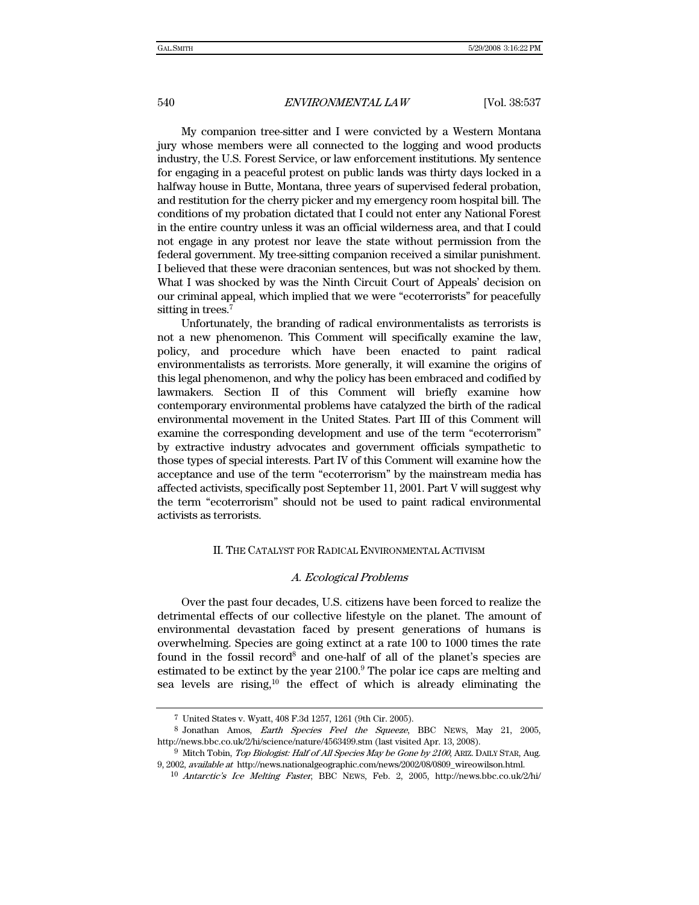My companion tree-sitter and I were convicted by a Western Montana jury whose members were all connected to the logging and wood products industry, the U.S. Forest Service, or law enforcement institutions. My sentence for engaging in a peaceful protest on public lands was thirty days locked in a halfway house in Butte, Montana, three years of supervised federal probation, and restitution for the cherry picker and my emergency room hospital bill. The conditions of my probation dictated that I could not enter any National Forest in the entire country unless it was an official wilderness area, and that I could not engage in any protest nor leave the state without permission from the federal government. My tree-sitting companion received a similar punishment. I believed that these were draconian sentences, but was not shocked by them. What I was shocked by was the Ninth Circuit Court of Appeals' decision on our criminal appeal, which implied that we were "ecoterrorists" for peacefully sitting in trees.<sup>7</sup>

Unfortunately, the branding of radical environmentalists as terrorists is not a new phenomenon. This Comment will specifically examine the law, policy, and procedure which have been enacted to paint radical environmentalists as terrorists. More generally, it will examine the origins of this legal phenomenon, and why the policy has been embraced and codified by lawmakers. Section II of this Comment will briefly examine how contemporary environmental problems have catalyzed the birth of the radical environmental movement in the United States. Part III of this Comment will examine the corresponding development and use of the term "ecoterrorism" by extractive industry advocates and government officials sympathetic to those types of special interests. Part IV of this Comment will examine how the acceptance and use of the term "ecoterrorism" by the mainstream media has affected activists, specifically post September 11, 2001. Part V will suggest why the term "ecoterrorism" should not be used to paint radical environmental activists as terrorists.

## II. THE CATALYST FOR RADICAL ENVIRONMENTAL ACTIVISM

## A. Ecological Problems

Over the past four decades, U.S. citizens have been forced to realize the detrimental effects of our collective lifestyle on the planet. The amount of environmental devastation faced by present generations of humans is overwhelming. Species are going extinct at a rate 100 to 1000 times the rate found in the fossil record<sup>8</sup> and one-half of all of the planet's species are estimated to be extinct by the year 2100.<sup>9</sup> The polar ice caps are melting and sea levels are rising,<sup>10</sup> the effect of which is already eliminating the

<sup>7</sup> United States v. Wyatt, 408 F.3d 1257, 1261 (9th Cir. 2005).

<sup>8</sup> Jonathan Amos, Earth Species Feel the Squeeze, BBC NEWS, May 21, 2005, http://news.bbc.co.uk/2/hi/science/nature/4563499.stm (last visited Apr. 13, 2008).

<sup>&</sup>lt;sup>9</sup> Mitch Tobin, Top Biologist: Half of All Species May be Gone by 2100, ARIZ. DAILY STAR, Aug. 9, 2002, available at http://news.nationalgeographic.com/news/2002/08/0809\_wireowilson.html.

<sup>10</sup> Antarctic's Ice Melting Faster, BBC NEWS, Feb. 2, 2005, http://news.bbc.co.uk/2/hi/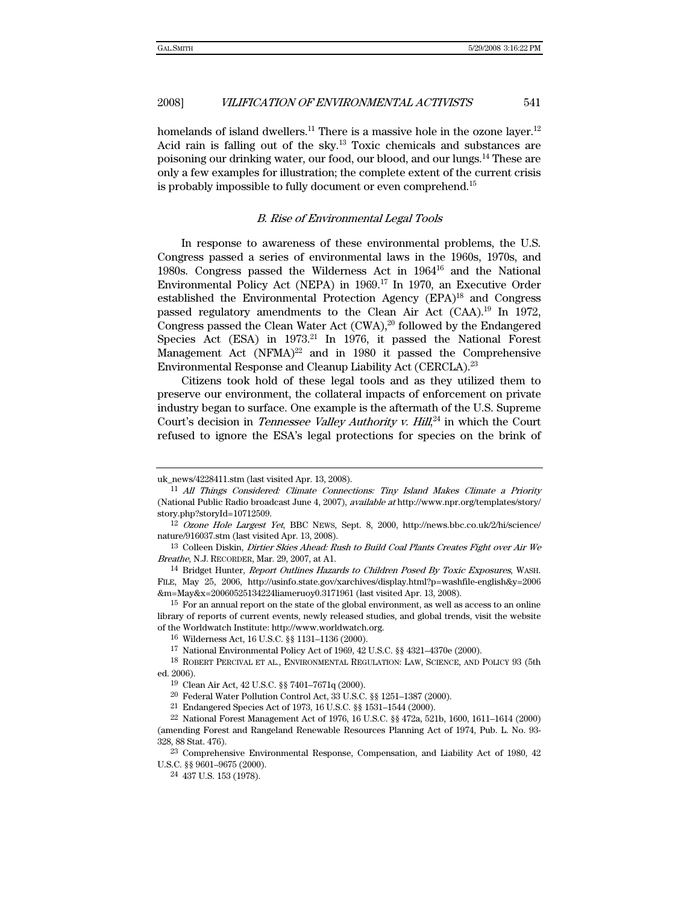homelands of island dwellers.<sup>11</sup> There is a massive hole in the ozone layer.<sup>12</sup> Acid rain is falling out of the sky.<sup>13</sup> Toxic chemicals and substances are poisoning our drinking water, our food, our blood, and our lungs.14 These are only a few examples for illustration; the complete extent of the current crisis is probably impossible to fully document or even comprehend.15

### B. Rise of Environmental Legal Tools

In response to awareness of these environmental problems, the U.S. Congress passed a series of environmental laws in the 1960s, 1970s, and 1980s. Congress passed the Wilderness Act in 196416 and the National Environmental Policy Act (NEPA) in 1969.17 In 1970, an Executive Order established the Environmental Protection Agency (EPA)<sup>18</sup> and Congress passed regulatory amendments to the Clean Air Act (CAA).19 In 1972, Congress passed the Clean Water Act (CWA),<sup>20</sup> followed by the Endangered Species Act (ESA) in 1973.<sup>21</sup> In 1976, it passed the National Forest Management Act  $(NFMA)^{22}$  and in 1980 it passed the Comprehensive Environmental Response and Cleanup Liability Act (CERCLA).23

Citizens took hold of these legal tools and as they utilized them to preserve our environment, the collateral impacts of enforcement on private industry began to surface. One example is the aftermath of the U.S. Supreme Court's decision in *Tennessee Valley Authority v. Hill*, $^{24}$  in which the Court refused to ignore the ESA's legal protections for species on the brink of

uk\_news/4228411.stm (last visited Apr. 13, 2008).

<sup>11</sup> All Things Considered: Climate Connections: Tiny Island Makes Climate a Priority (National Public Radio broadcast June 4, 2007), available at http://www.npr.org/templates/story/ story.php?storyId=10712509.

<sup>12</sup> Ozone Hole Largest Yet, BBC NEWS, Sept. 8, 2000, http://news.bbc.co.uk/2/hi/science/ nature/916037.stm (last visited Apr. 13, 2008).

<sup>&</sup>lt;sup>13</sup> Colleen Diskin, Dirtier Skies Ahead: Rush to Build Coal Plants Creates Fight over Air We Breathe, N.J. RECORDER, Mar. 29, 2007, at A1.

<sup>14</sup> Bridget Hunter, Report Outlines Hazards to Children Posed By Toxic Exposures, WASH. FILE, May 25, 2006, http://usinfo.state.gov/xarchives/display.html?p=washfile-english&y=2006 &m=May&x=20060525134224liameruoy0.3171961 (last visited Apr. 13, 2008).

<sup>&</sup>lt;sup>15</sup> For an annual report on the state of the global environment, as well as access to an online library of reports of current events, newly released studies, and global trends, visit the website of the Worldwatch Institute: http://www.worldwatch.org.

<sup>16</sup> Wilderness Act, 16 U.S.C. §§ 1131–1136 (2000).

<sup>17</sup> National Environmental Policy Act of 1969, 42 U.S.C. §§ 4321–4370e (2000).

<sup>18</sup> ROBERT PERCIVAL ET AL., ENVIRONMENTAL REGULATION: LAW, SCIENCE, AND POLICY 93 (5th ed. 2006).

<sup>19</sup> Clean Air Act, 42 U.S.C. §§ 7401–7671q (2000).

<sup>20</sup> Federal Water Pollution Control Act, 33 U.S.C. §§ 1251–1387 (2000).

<sup>21</sup> Endangered Species Act of 1973, 16 U.S.C. §§ 1531–1544 (2000).

<sup>22</sup> National Forest Management Act of 1976, 16 U.S.C. §§ 472a, 521b, 1600, 1611–1614 (2000) (amending Forest and Rangeland Renewable Resources Planning Act of 1974, Pub. L. No. 93- 328, 88 Stat. 476).

<sup>23</sup> Comprehensive Environmental Response, Compensation, and Liability Act of 1980, 42 U.S.C. §§ 9601–9675 (2000).

<sup>24 437</sup> U.S. 153 (1978).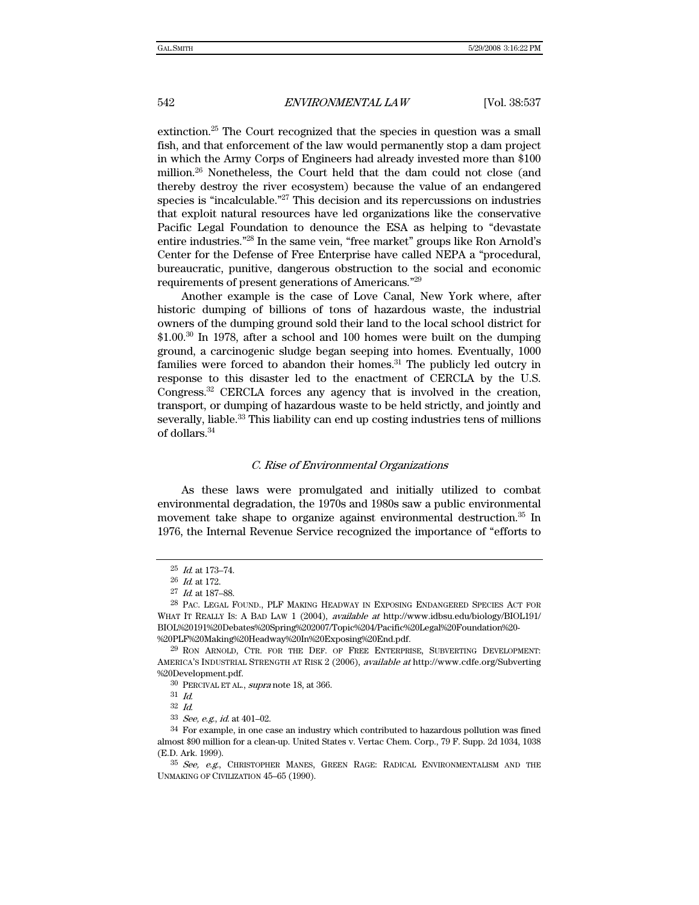extinction.25 The Court recognized that the species in question was a small fish, and that enforcement of the law would permanently stop a dam project in which the Army Corps of Engineers had already invested more than \$100 million.26 Nonetheless, the Court held that the dam could not close (and thereby destroy the river ecosystem) because the value of an endangered species is "incalculable."27 This decision and its repercussions on industries that exploit natural resources have led organizations like the conservative Pacific Legal Foundation to denounce the ESA as helping to "devastate entire industries."28 In the same vein, "free market" groups like Ron Arnold's Center for the Defense of Free Enterprise have called NEPA a "procedural, bureaucratic, punitive, dangerous obstruction to the social and economic requirements of present generations of Americans."29

Another example is the case of Love Canal, New York where, after historic dumping of billions of tons of hazardous waste, the industrial owners of the dumping ground sold their land to the local school district for \$1.00.30 In 1978, after a school and 100 homes were built on the dumping ground, a carcinogenic sludge began seeping into homes. Eventually, 1000 families were forced to abandon their homes. $31$  The publicly led outcry in response to this disaster led to the enactment of CERCLA by the U.S. Congress.32 CERCLA forces any agency that is involved in the creation, transport, or dumping of hazardous waste to be held strictly, and jointly and severally, liable.<sup>33</sup> This liability can end up costing industries tens of millions of dollars.34

#### C. Rise of Environmental Organizations

As these laws were promulgated and initially utilized to combat environmental degradation, the 1970s and 1980s saw a public environmental movement take shape to organize against environmental destruction.35 In 1976, the Internal Revenue Service recognized the importance of "efforts to

 $25$  *Id.* at 173-74.

<sup>26</sup> Id. at 172.

<sup>27</sup> Id. at 187–88.

<sup>28</sup> PAC. LEGAL FOUND., PLF MAKING HEADWAY IN EXPOSING ENDANGERED SPECIES ACT FOR WHAT IT REALLY IS: A BAD LAW 1 (2004), *available at* http://www.idbsu.edu/biology/BIOL191/ BIOL%20191%20Debates%20Spring%202007/Topic%204/Pacific%20Legal%20Foundation%20- %20PLF%20Making%20Headway%20In%20Exposing%20End.pdf.

<sup>29</sup> RON ARNOLD, CTR. FOR THE DEF. OF FREE ENTERPRISE, SUBVERTING DEVELOPMENT: AMERICA'S INDUSTRIAL STRENGTH AT RISK 2 (2006), available at http://www.cdfe.org/Subverting %20Development.pdf.

<sup>30</sup> PERCIVAL ET AL., supra note 18, at 366.

<sup>31</sup> Id.

<sup>32</sup> Id.

 $^{33}\,$  See, e.g.,  $id$  at 401–02.

<sup>34</sup> For example, in one case an industry which contributed to hazardous pollution was fined almost \$90 million for a clean-up. United States v. Vertac Chem. Corp., 79 F. Supp. 2d 1034, 1038 (E.D. Ark. 1999).

<sup>35</sup> See, e.g., CHRISTOPHER MANES, GREEN RAGE: RADICAL ENVIRONMENTALISM AND THE UNMAKING OF CIVILIZATION 45–65 (1990).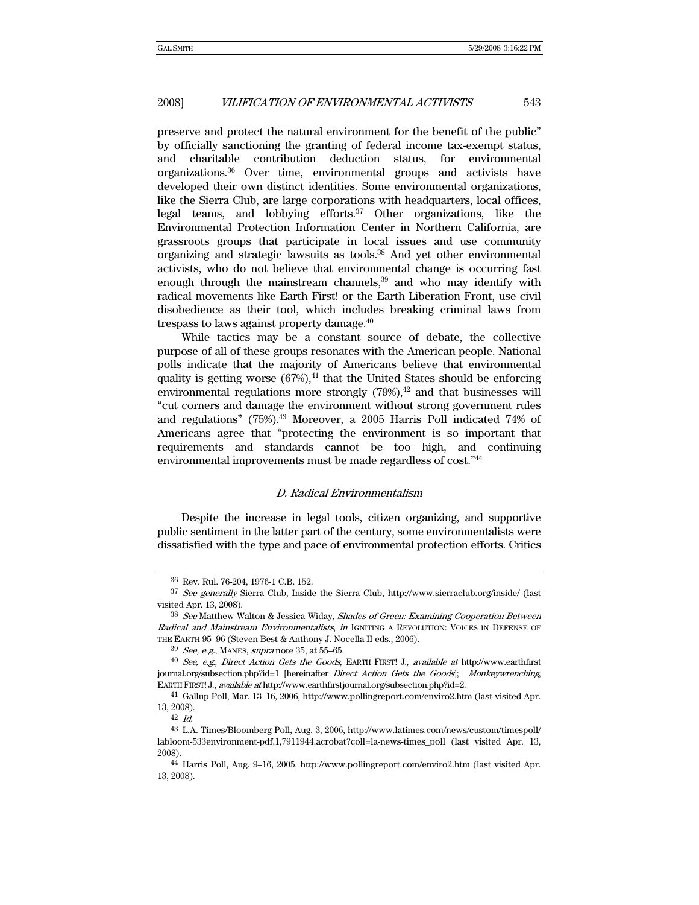preserve and protect the natural environment for the benefit of the public" by officially sanctioning the granting of federal income tax-exempt status, and charitable contribution deduction status, for environmental organizations.36 Over time, environmental groups and activists have developed their own distinct identities. Some environmental organizations, like the Sierra Club, are large corporations with headquarters, local offices, legal teams, and lobbying efforts. $37$  Other organizations, like the Environmental Protection Information Center in Northern California, are grassroots groups that participate in local issues and use community organizing and strategic lawsuits as tools.38 And yet other environmental activists, who do not believe that environmental change is occurring fast enough through the mainstream channels,<sup>39</sup> and who may identify with radical movements like Earth First! or the Earth Liberation Front, use civil disobedience as their tool, which includes breaking criminal laws from trespass to laws against property damage.40

While tactics may be a constant source of debate, the collective purpose of all of these groups resonates with the American people. National polls indicate that the majority of Americans believe that environmental quality is getting worse  $(67%)$ ,<sup>41</sup> that the United States should be enforcing environmental regulations more strongly  $(79%)$ ,<sup>42</sup> and that businesses will "cut corners and damage the environment without strong government rules and regulations" (75%).43 Moreover, a 2005 Harris Poll indicated 74% of Americans agree that "protecting the environment is so important that requirements and standards cannot be too high, and continuing environmental improvements must be made regardless of cost."44

#### D. Radical Environmentalism

Despite the increase in legal tools, citizen organizing, and supportive public sentiment in the latter part of the century, some environmentalists were dissatisfied with the type and pace of environmental protection efforts. Critics

<sup>36</sup> Rev. Rul. 76-204, 1976-1 C.B. 152.

<sup>37</sup> See generally Sierra Club, Inside the Sierra Club, http://www.sierraclub.org/inside/ (last visited Apr. 13, 2008).

<sup>38</sup> See Matthew Walton & Jessica Widay, Shades of Green: Examining Cooperation Between Radical and Mainstream Environmentalists, in IGNITING A REVOLUTION: VOICES IN DEFENSE OF THE EARTH 95–96 (Steven Best & Anthony J. Nocella II eds., 2006).

 $39$  See, e.g., MANES, supra note 35, at 55-65.

<sup>40</sup> See, e.g., Direct Action Gets the Goods, EARTH FIRST! J., available at http://www.earthfirst journal.org/subsection.php?id=1 [hereinafter *Direct Action Gets the Goods*]; Monkeywrenching, EARTH FIRST! J., available at http://www.earthfirstjournal.org/subsection.php?id=2.

<sup>41</sup> Gallup Poll, Mar. 13–16, 2006, http://www.pollingreport.com/enviro2.htm (last visited Apr. 13, 2008).

<sup>42</sup> Id.

<sup>43</sup> L.A. Times/Bloomberg Poll, Aug. 3, 2006, http://www.latimes.com/news/custom/timespoll/ labloom-533environment-pdf,1,7911944.acrobat?coll=la-news-times\_poll (last visited Apr. 13, 2008).

<sup>44</sup> Harris Poll, Aug. 9–16, 2005, http://www.pollingreport.com/enviro2.htm (last visited Apr. 13, 2008).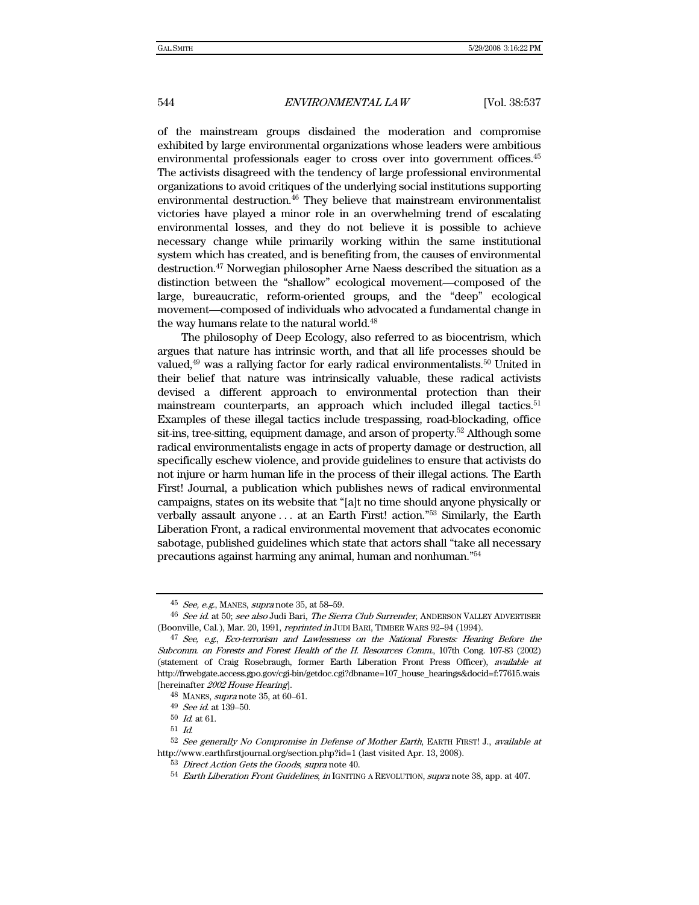of the mainstream groups disdained the moderation and compromise exhibited by large environmental organizations whose leaders were ambitious environmental professionals eager to cross over into government offices.<sup>45</sup> The activists disagreed with the tendency of large professional environmental organizations to avoid critiques of the underlying social institutions supporting environmental destruction.<sup>46</sup> They believe that mainstream environmentalist victories have played a minor role in an overwhelming trend of escalating environmental losses, and they do not believe it is possible to achieve necessary change while primarily working within the same institutional system which has created, and is benefiting from, the causes of environmental destruction.47 Norwegian philosopher Arne Naess described the situation as a distinction between the "shallow" ecological movement—composed of the large, bureaucratic, reform-oriented groups, and the "deep" ecological movement—composed of individuals who advocated a fundamental change in the way humans relate to the natural world.<sup>48</sup>

The philosophy of Deep Ecology, also referred to as biocentrism, which argues that nature has intrinsic worth, and that all life processes should be valued,<sup>49</sup> was a rallying factor for early radical environmentalists.<sup>50</sup> United in their belief that nature was intrinsically valuable, these radical activists devised a different approach to environmental protection than their mainstream counterparts, an approach which included illegal tactics.<sup>51</sup> Examples of these illegal tactics include trespassing, road-blockading, office sit-ins, tree-sitting, equipment damage, and arson of property.52 Although some radical environmentalists engage in acts of property damage or destruction, all specifically eschew violence, and provide guidelines to ensure that activists do not injure or harm human life in the process of their illegal actions. The Earth First! Journal, a publication which publishes news of radical environmental campaigns, states on its website that "[a]t no time should anyone physically or verbally assault anyone . . . at an Earth First! action."53 Similarly, the Earth Liberation Front, a radical environmental movement that advocates economic sabotage, published guidelines which state that actors shall "take all necessary precautions against harming any animal, human and nonhuman."54

 $45$  See, e.g., MANES, supra note 35, at 58-59.

<sup>46</sup> See id. at 50; see also Judi Bari, The Sierra Club Surrender, ANDERSON VALLEY ADVERTISER (Boonville, Cal.), Mar. 20, 1991, reprinted in JUDI BARI, TIMBER WARS 92–94 (1994).

<sup>&</sup>lt;sup>47</sup> See, e.g., Eco-terrorism and Lawlessness on the National Forests: Hearing Before the Subcomm. on Forests and Forest Health of the H. Resources Comm., 107th Cong. 107-83 (2002) (statement of Craig Rosebraugh, former Earth Liberation Front Press Officer), available at http://frwebgate.access.gpo.gov/cgi-bin/getdoc.cgi?dbname=107\_house\_hearings&docid=f:77615.wais [hereinafter 2002 House Hearing].

<sup>48</sup> MANES, supra note 35, at 60–61.

<sup>49</sup> See id. at 139–50.

 $50\,$   $Id.$  at 61.

 $^{51}$   $\emph{Id.}$ 

<sup>&</sup>lt;sup>52</sup> See generally No Compromise in Defense of Mother Earth, EARTH FIRST! J., available at http://www.earthfirstjournal.org/section.php?id=1 (last visited Apr. 13, 2008).

<sup>53</sup> Direct Action Gets the Goods, supra note 40.

 $54$  Earth Liberation Front Guidelines, in IGNITING A REVOLUTION, supra note 38, app. at 407.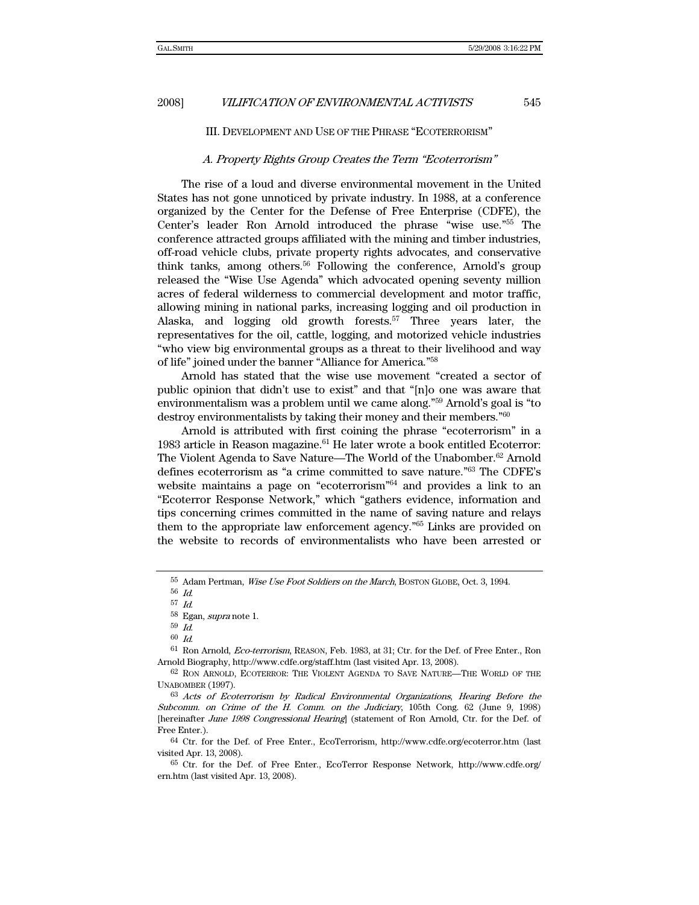## III. DEVELOPMENT AND USE OF THE PHRASE "ECOTERRORISM"

#### A. Property Rights Group Creates the Term "Ecoterrorism"

The rise of a loud and diverse environmental movement in the United States has not gone unnoticed by private industry. In 1988, at a conference organized by the Center for the Defense of Free Enterprise (CDFE), the Center's leader Ron Arnold introduced the phrase "wise use."55 The conference attracted groups affiliated with the mining and timber industries, off-road vehicle clubs, private property rights advocates, and conservative think tanks, among others.56 Following the conference, Arnold's group released the "Wise Use Agenda" which advocated opening seventy million acres of federal wilderness to commercial development and motor traffic, allowing mining in national parks, increasing logging and oil production in Alaska, and logging old growth forests.<sup>57</sup> Three years later, the representatives for the oil, cattle, logging, and motorized vehicle industries "who view big environmental groups as a threat to their livelihood and way of life" joined under the banner "Alliance for America."58

Arnold has stated that the wise use movement "created a sector of public opinion that didn't use to exist" and that "[n]o one was aware that environmentalism was a problem until we came along."59 Arnold's goal is "to destroy environmentalists by taking their money and their members."60

Arnold is attributed with first coining the phrase "ecoterrorism" in a 1983 article in Reason magazine. $61$  He later wrote a book entitled Ecoterror: The Violent Agenda to Save Nature—The World of the Unabomber.62 Arnold defines ecoterrorism as "a crime committed to save nature."63 The CDFE's website maintains a page on "ecoterrorism"64 and provides a link to an "Ecoterror Response Network," which "gathers evidence, information and tips concerning crimes committed in the name of saving nature and relays them to the appropriate law enforcement agency."65 Links are provided on the website to records of environmentalists who have been arrested or

64 Ctr. for the Def. of Free Enter., EcoTerrorism, http://www.cdfe.org/ecoterror.htm (last visited Apr. 13, 2008).

<sup>55</sup> Adam Pertman, Wise Use Foot Soldiers on the March, BOSTON GLOBE, Oct. 3, 1994.

<sup>56</sup> Id. 57 Id.

 $^{58}\,$  Egan,  $supra$  note 1.

 $^{59}$   $\emph{Id.}$ 

<sup>60</sup> Id.

<sup>61</sup> Ron Arnold, Eco-terrorism, REASON, Feb. 1983, at 31; Ctr. for the Def. of Free Enter., Ron Arnold Biography, http://www.cdfe.org/staff.htm (last visited Apr. 13, 2008).

<sup>62</sup> RON ARNOLD, ECOTERROR: THE VIOLENT AGENDA TO SAVE NATURE—THE WORLD OF THE UNABOMBER (1997).

<sup>63</sup> Acts of Ecoterrorism by Radical Environmental Organizations, Hearing Before the Subcomm. on Crime of the H. Comm. on the Judiciary, 105th Cong. 62 (June 9, 1998) [hereinafter June 1998 Congressional Hearing] (statement of Ron Arnold, Ctr. for the Def. of Free Enter.).

<sup>65</sup> Ctr. for the Def. of Free Enter., EcoTerror Response Network, http://www.cdfe.org/ ern.htm (last visited Apr. 13, 2008).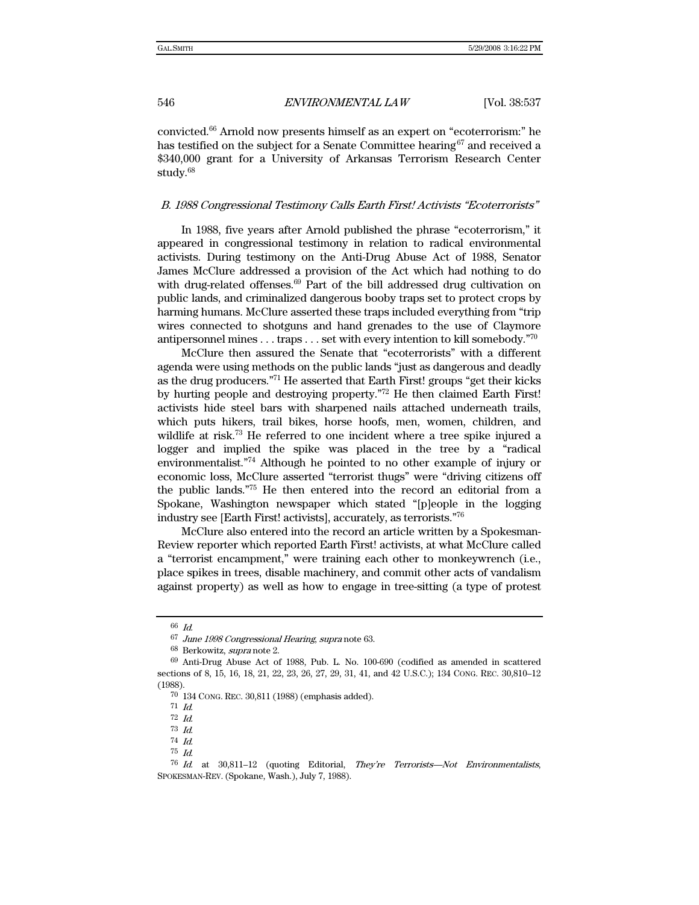convicted.66 Arnold now presents himself as an expert on "ecoterrorism:" he has testified on the subject for a Senate Committee hearing  $67$  and received a \$340,000 grant for a University of Arkansas Terrorism Research Center study.<sup>68</sup>

### B. 1988 Congressional Testimony Calls Earth First! Activists "Ecoterrorists"

In 1988, five years after Arnold published the phrase "ecoterrorism," it appeared in congressional testimony in relation to radical environmental activists. During testimony on the Anti-Drug Abuse Act of 1988, Senator James McClure addressed a provision of the Act which had nothing to do with drug-related offenses.<sup>69</sup> Part of the bill addressed drug cultivation on public lands, and criminalized dangerous booby traps set to protect crops by harming humans. McClure asserted these traps included everything from "trip wires connected to shotguns and hand grenades to the use of Claymore antipersonnel mines . . . traps . . . set with every intention to kill somebody."70

McClure then assured the Senate that "ecoterrorists" with a different agenda were using methods on the public lands "just as dangerous and deadly as the drug producers."71 He asserted that Earth First! groups "get their kicks by hurting people and destroying property."72 He then claimed Earth First! activists hide steel bars with sharpened nails attached underneath trails, which puts hikers, trail bikes, horse hoofs, men, women, children, and wildlife at risk.<sup>73</sup> He referred to one incident where a tree spike injured a logger and implied the spike was placed in the tree by a "radical environmentalist."74 Although he pointed to no other example of injury or economic loss, McClure asserted "terrorist thugs" were "driving citizens off the public lands."75 He then entered into the record an editorial from a Spokane, Washington newspaper which stated "[p]eople in the logging industry see [Earth First! activists], accurately, as terrorists."76

McClure also entered into the record an article written by a Spokesman-Review reporter which reported Earth First! activists, at what McClure called a "terrorist encampment," were training each other to monkeywrench (i.e., place spikes in trees, disable machinery, and commit other acts of vandalism against property) as well as how to engage in tree-sitting (a type of protest

<sup>66</sup> Id.

<sup>&</sup>lt;sup>67</sup> June 1998 Congressional Hearing, supra note 63.

<sup>68</sup> Berkowitz, supra note 2.

<sup>69</sup> Anti-Drug Abuse Act of 1988, Pub. L. No. 100-690 (codified as amended in scattered sections of 8, 15, 16, 18, 21, 22, 23, 26, 27, 29, 31, 41, and 42 U.S.C.); 134 CONG. REC. 30,810–12 (1988).

<sup>70 134</sup> CONG. REC. 30,811 (1988) (emphasis added).

 $71$  *Id.* 

<sup>72</sup> Id.

<sup>73</sup> Id.

<sup>74</sup> Id.

<sup>75</sup> Id.

<sup>76</sup> Id. at 30,811–12 (quoting Editorial, They're Terrorists—Not Environmentalists, SPOKESMAN-REV. (Spokane, Wash.), July 7, 1988).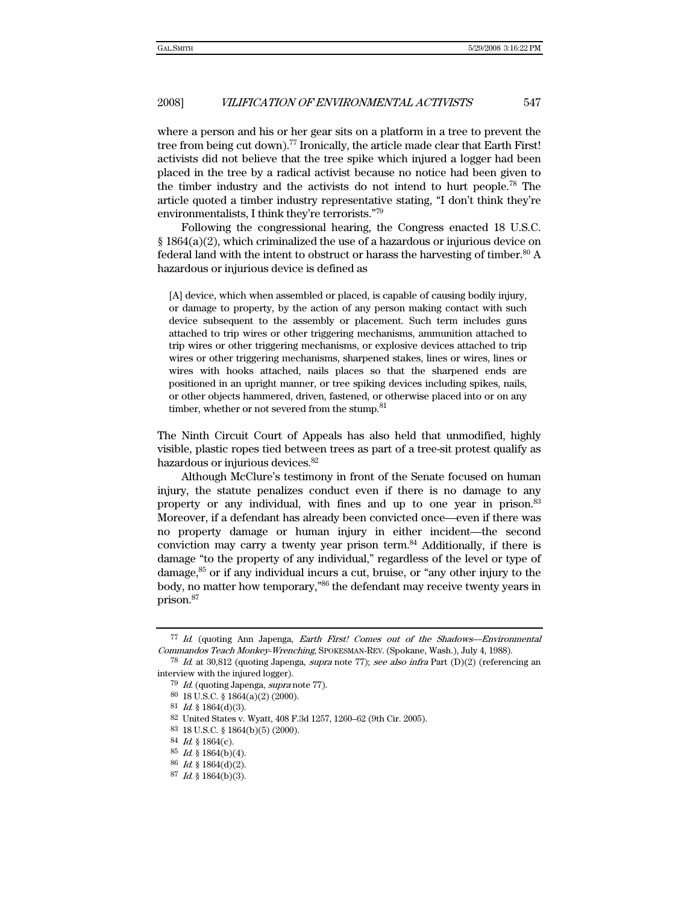where a person and his or her gear sits on a platform in a tree to prevent the tree from being cut down).<sup>77</sup> Ironically, the article made clear that Earth First! activists did not believe that the tree spike which injured a logger had been placed in the tree by a radical activist because no notice had been given to the timber industry and the activists do not intend to hurt people.78 The article quoted a timber industry representative stating, "I don't think they're environmentalists, I think they're terrorists."79

Following the congressional hearing, the Congress enacted 18 U.S.C.  $\S 1864(a)(2)$ , which criminalized the use of a hazardous or injurious device on federal land with the intent to obstruct or harass the harvesting of timber.<sup>80</sup> A hazardous or injurious device is defined as

[A] device, which when assembled or placed, is capable of causing bodily injury, or damage to property, by the action of any person making contact with such device subsequent to the assembly or placement. Such term includes guns attached to trip wires or other triggering mechanisms, ammunition attached to trip wires or other triggering mechanisms, or explosive devices attached to trip wires or other triggering mechanisms, sharpened stakes, lines or wires, lines or wires with hooks attached, nails places so that the sharpened ends are positioned in an upright manner, or tree spiking devices including spikes, nails, or other objects hammered, driven, fastened, or otherwise placed into or on any timber, whether or not severed from the stump.  $^{81}$ 

The Ninth Circuit Court of Appeals has also held that unmodified, highly visible, plastic ropes tied between trees as part of a tree-sit protest qualify as hazardous or injurious devices.82

Although McClure's testimony in front of the Senate focused on human injury, the statute penalizes conduct even if there is no damage to any property or any individual, with fines and up to one year in prison.83 Moreover, if a defendant has already been convicted once—even if there was no property damage or human injury in either incident—the second conviction may carry a twenty year prison term.84 Additionally, if there is damage "to the property of any individual," regardless of the level or type of damage, $85$  or if any individual incurs a cut, bruise, or "any other injury to the body, no matter how temporary,"86 the defendant may receive twenty years in prison.87

<sup>77</sup> Id. (quoting Ann Japenga, Earth First! Comes out of the Shadows—Environmental Commandos Teach Monkey-Wrenching, SPOKESMAN-REV. (Spokane, Wash.), July 4, 1988).

<sup>78</sup> Id. at 30,812 (quoting Japenga, supra note 77); see also infra Part (D)(2) (referencing an interview with the injured logger).

<sup>79</sup> Id. (quoting Japenga, supra note 77).

<sup>80 18</sup> U.S.C. § 1864(a)(2) (2000).

 $81$  *Id.* § 1864(d)(3).

<sup>82</sup> United States v. Wyatt, 408 F.3d 1257, 1260–62 (9th Cir. 2005).

<sup>83 18</sup> U.S.C. § 1864(b)(5) (2000).

<sup>84</sup> Id. § 1864(c).

<sup>85</sup> Id. § 1864(b)(4).

<sup>86</sup> Id. § 1864(d)(2).

 $87$  *Id.* § 1864(b)(3).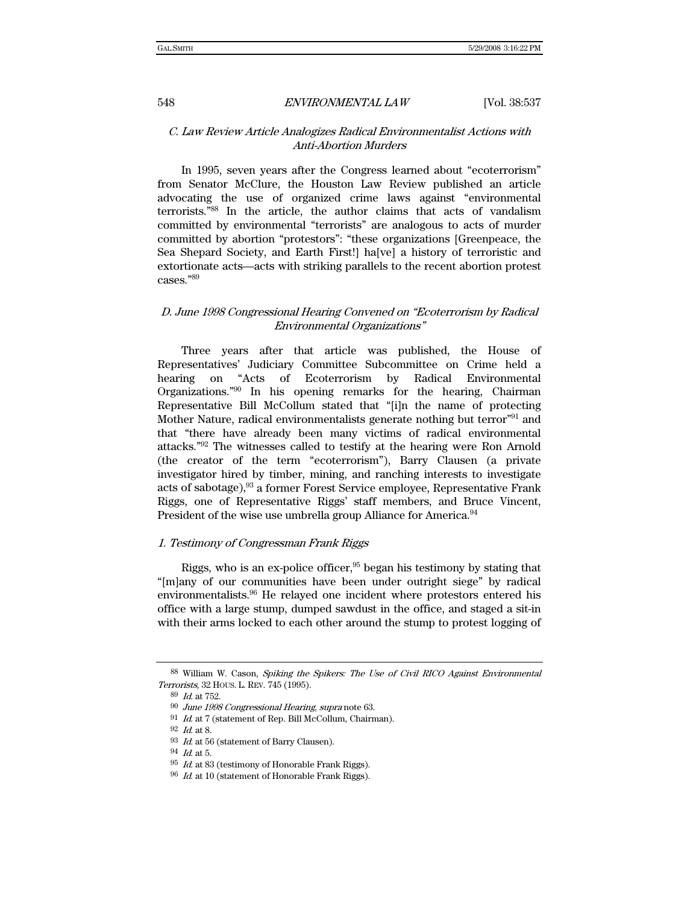## C. Law Review Article Analogizes Radical Environmentalist Actions with Anti-Abortion Murders

In 1995, seven years after the Congress learned about "ecoterrorism" from Senator McClure, the Houston Law Review published an article advocating the use of organized crime laws against "environmental terrorists."88 In the article, the author claims that acts of vandalism committed by environmental "terrorists" are analogous to acts of murder committed by abortion "protestors": "these organizations [Greenpeace, the Sea Shepard Society, and Earth First!] ha[ve] a history of terroristic and extortionate acts—acts with striking parallels to the recent abortion protest cases."89

## D. June 1998 Congressional Hearing Convened on "Ecoterrorism by Radical Environmental Organizations"

Three years after that article was published, the House of Representatives' Judiciary Committee Subcommittee on Crime held a hearing on "Acts of Ecoterrorism by Radical Environmental Organizations."90 In his opening remarks for the hearing, Chairman Representative Bill McCollum stated that "[i]n the name of protecting Mother Nature, radical environmentalists generate nothing but terror<sup>"91</sup> and that "there have already been many victims of radical environmental attacks."92 The witnesses called to testify at the hearing were Ron Arnold (the creator of the term "ecoterrorism"), Barry Clausen (a private investigator hired by timber, mining, and ranching interests to investigate acts of sabotage),  $93$  a former Forest Service employee, Representative Frank Riggs, one of Representative Riggs' staff members, and Bruce Vincent, President of the wise use umbrella group Alliance for America.<sup>94</sup>

## 1. Testimony of Congressman Frank Riggs

Riggs, who is an ex-police officer, $95$  began his testimony by stating that "[m]any of our communities have been under outright siege" by radical environmentalists.96 He relayed one incident where protestors entered his office with a large stump, dumped sawdust in the office, and staged a sit-in with their arms locked to each other around the stump to protest logging of

<sup>88</sup> William W. Cason, Spiking the Spikers: The Use of Civil RICO Against Environmental Terrorists, 32 HOUS. L. REV. 745 (1995).

<sup>89</sup> Id. at 752.

<sup>90</sup> June 1998 Congressional Hearing, supra note 63.

 $^{91}\,$   $\emph{Id.}$  at 7 (statement of Rep. Bill McCollum, Chairman).

<sup>92</sup> Id. at 8.

 $93$  *Id.* at 56 (statement of Barry Clausen).

 $^{94}\,$   $\emph{Id.}$  at 5.

 $95\,$   $\emph{Id.}$  at  $83$  (testimony of Honorable Frank Riggs).

 $96$  *Id.* at 10 (statement of Honorable Frank Riggs).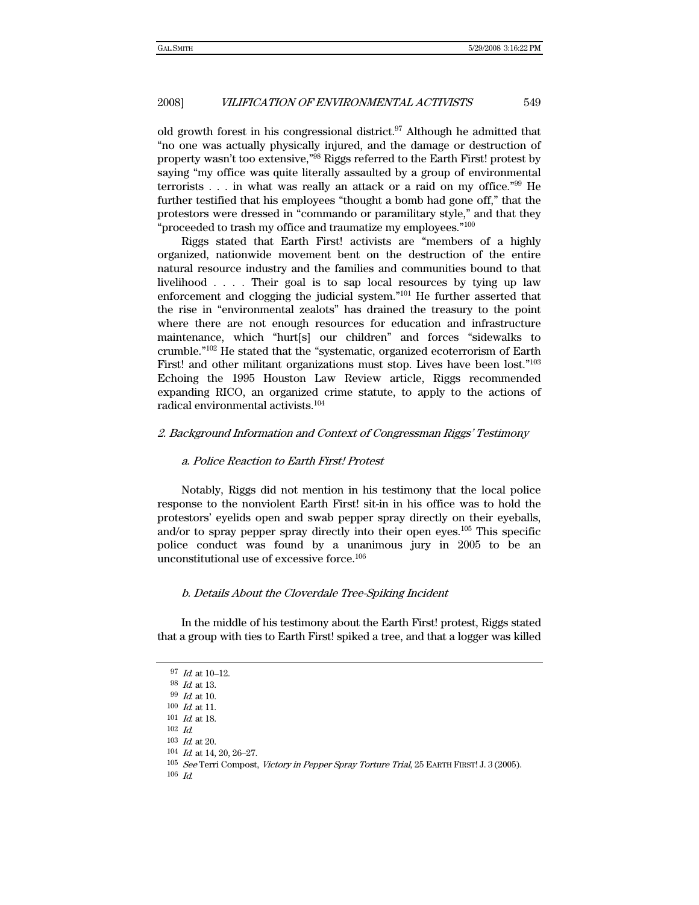old growth forest in his congressional district.<sup>97</sup> Although he admitted that "no one was actually physically injured, and the damage or destruction of property wasn't too extensive,"98 Riggs referred to the Earth First! protest by saying "my office was quite literally assaulted by a group of environmental terrorists . . . in what was really an attack or a raid on my office."99 He further testified that his employees "thought a bomb had gone off," that the protestors were dressed in "commando or paramilitary style," and that they "proceeded to trash my office and traumatize my employees."<sup>100</sup>

Riggs stated that Earth First! activists are "members of a highly organized, nationwide movement bent on the destruction of the entire natural resource industry and the families and communities bound to that livelihood . . . . Their goal is to sap local resources by tying up law enforcement and clogging the judicial system."101 He further asserted that the rise in "environmental zealots" has drained the treasury to the point where there are not enough resources for education and infrastructure maintenance, which "hurt[s] our children" and forces "sidewalks to crumble."102 He stated that the "systematic, organized ecoterrorism of Earth First! and other militant organizations must stop. Lives have been lost."103 Echoing the 1995 Houston Law Review article, Riggs recommended expanding RICO, an organized crime statute, to apply to the actions of radical environmental activists.104

## 2. Background Information and Context of Congressman Riggs' Testimony

#### a. Police Reaction to Earth First! Protest

Notably, Riggs did not mention in his testimony that the local police response to the nonviolent Earth First! sit-in in his office was to hold the protestors' eyelids open and swab pepper spray directly on their eyeballs, and/or to spray pepper spray directly into their open eyes.105 This specific police conduct was found by a unanimous jury in 2005 to be an unconstitutional use of excessive force.106

#### b. Details About the Cloverdale Tree-Spiking Incident

In the middle of his testimony about the Earth First! protest, Riggs stated that a group with ties to Earth First! spiked a tree, and that a logger was killed

<sup>97</sup> Id. at 10–12.

<sup>98</sup> Id. at 13.

<sup>99</sup> Id. at 10.

<sup>100</sup> Id. at 11. 101 Id. at 18.

<sup>102</sup> Id.

 $103$  *Id.* at 20.

<sup>104</sup> Id. at 14, 20, 26-27.

<sup>105</sup> See Terri Compost, Victory in Pepper Spray Torture Trial, 25 EARTH FIRST! J. 3 (2005).

 $106$  *Id.*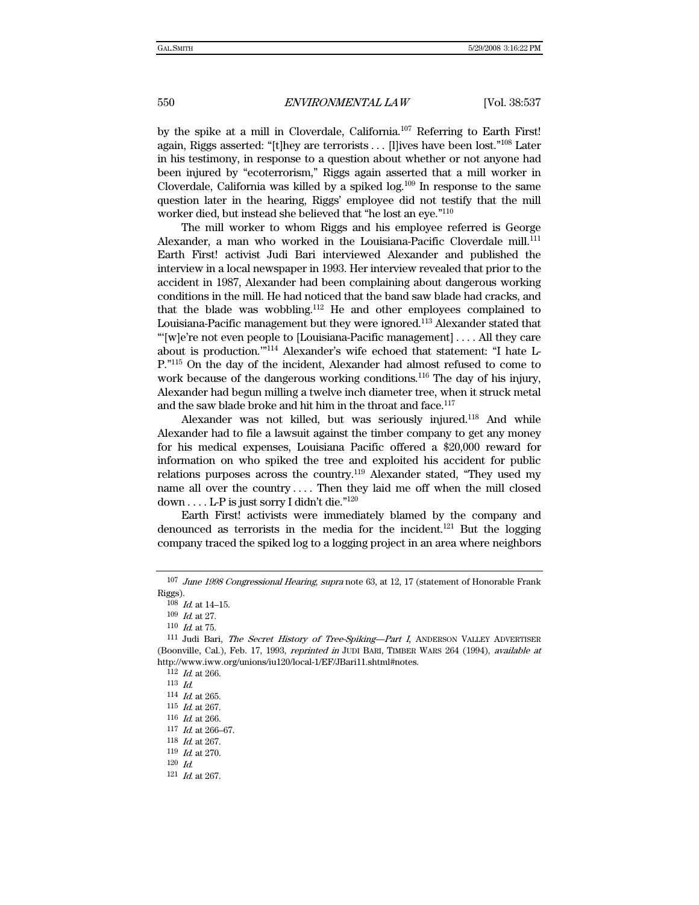by the spike at a mill in Cloverdale, California.107 Referring to Earth First! again, Riggs asserted: "[t]hey are terrorists . . . [l]ives have been lost."108 Later in his testimony, in response to a question about whether or not anyone had been injured by "ecoterrorism," Riggs again asserted that a mill worker in Cloverdale, California was killed by a spiked  $log$ <sup>109</sup> In response to the same question later in the hearing, Riggs' employee did not testify that the mill worker died, but instead she believed that "he lost an eye."110

The mill worker to whom Riggs and his employee referred is George Alexander, a man who worked in the Louisiana-Pacific Cloverdale mill.111 Earth First! activist Judi Bari interviewed Alexander and published the interview in a local newspaper in 1993. Her interview revealed that prior to the accident in 1987, Alexander had been complaining about dangerous working conditions in the mill. He had noticed that the band saw blade had cracks, and that the blade was wobbling.<sup>112</sup> He and other employees complained to Louisiana-Pacific management but they were ignored.113 Alexander stated that "'[w]e're not even people to [Louisiana-Pacific management] . . . . All they care about is production.'"114 Alexander's wife echoed that statement: "I hate L-P."115 On the day of the incident, Alexander had almost refused to come to work because of the dangerous working conditions.<sup>116</sup> The day of his injury, Alexander had begun milling a twelve inch diameter tree, when it struck metal and the saw blade broke and hit him in the throat and face.<sup>117</sup>

Alexander was not killed, but was seriously injured.<sup>118</sup> And while Alexander had to file a lawsuit against the timber company to get any money for his medical expenses, Louisiana Pacific offered a \$20,000 reward for information on who spiked the tree and exploited his accident for public relations purposes across the country.119 Alexander stated, "They used my name all over the country . . . . Then they laid me off when the mill closed down . . . . L-P is just sorry I didn't die."120

Earth First! activists were immediately blamed by the company and denounced as terrorists in the media for the incident.<sup>121</sup> But the logging company traced the spiked log to a logging project in an area where neighbors

<sup>107</sup> June 1998 Congressional Hearing, supra note 63, at 12, 17 (statement of Honorable Frank Riggs).

 $108$  *Id.* at 14-15.

 $109\;$   $Id.$  at  $27.$ 

<sup>110</sup> *Id.* at 75.<br><sup>111</sup> Judi Bari, *The Secret History of Tree-Spiking—Part I*, ANDERSON VALLEY ADVERTISER (Boonville, Cal.), Feb. 17, 1993, *reprinted in* JUDI BARI, TIMBER WARS 264 (1994), *available at* http://www.iww.org/unions/iu120/local-1/EF/JBari11.shtml#notes.

<sup>112</sup> Id. at 266.

 $^{113}\,$   $\emph{Id.}$ 

 $114$  *Id.* at 265.

<sup>115</sup> Id. at 267.

<sup>116</sup> Id. at 266.

<sup>117</sup> Id. at 266–67.

<sup>118</sup> Id. at 267.

 $^{119}\,$   $\emph{Id.}$  at 270.

<sup>120</sup> Id.

<sup>121</sup> Id. at 267.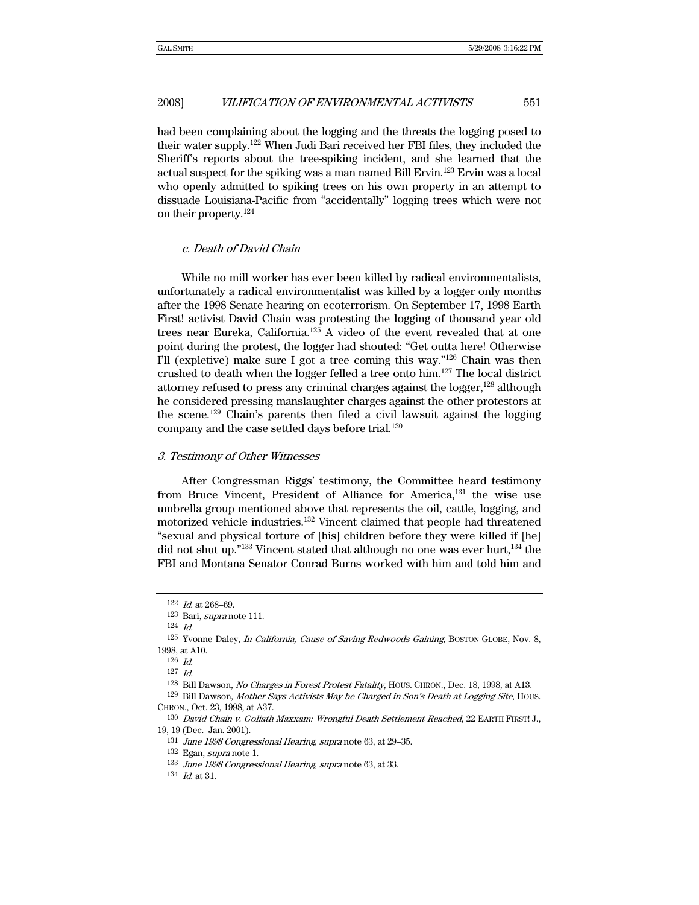had been complaining about the logging and the threats the logging posed to their water supply.122 When Judi Bari received her FBI files, they included the Sheriff's reports about the tree-spiking incident, and she learned that the actual suspect for the spiking was a man named Bill Ervin.123 Ervin was a local who openly admitted to spiking trees on his own property in an attempt to dissuade Louisiana-Pacific from "accidentally" logging trees which were not on their property.124

### c. Death of David Chain

While no mill worker has ever been killed by radical environmentalists, unfortunately a radical environmentalist was killed by a logger only months after the 1998 Senate hearing on ecoterrorism. On September 17, 1998 Earth First! activist David Chain was protesting the logging of thousand year old trees near Eureka, California.125 A video of the event revealed that at one point during the protest, the logger had shouted: "Get outta here! Otherwise I'll (expletive) make sure I got a tree coming this way."126 Chain was then crushed to death when the logger felled a tree onto him.127 The local district attorney refused to press any criminal charges against the logger, $128$  although he considered pressing manslaughter charges against the other protestors at the scene.129 Chain's parents then filed a civil lawsuit against the logging company and the case settled days before trial.130

#### 3. Testimony of Other Witnesses

After Congressman Riggs' testimony, the Committee heard testimony from Bruce Vincent, President of Alliance for America,<sup>131</sup> the wise use umbrella group mentioned above that represents the oil, cattle, logging, and motorized vehicle industries.132 Vincent claimed that people had threatened "sexual and physical torture of [his] children before they were killed if [he] did not shut up." $133$  Vincent stated that although no one was ever hurt,  $134$  the FBI and Montana Senator Conrad Burns worked with him and told him and

<sup>122</sup> Id. at 268–69.

<sup>123</sup> Bari, supra note 111.

<sup>124</sup> Id.

<sup>125</sup> Yvonne Daley, In California, Cause of Saving Redwoods Gaining, BOSTON GLOBE, Nov. 8, 1998, at A10.

<sup>126</sup> Id.

 $127$  *Id.* 

<sup>128</sup> Bill Dawson, No Charges in Forest Protest Fatality, HOUS. CHRON., Dec. 18, 1998, at A13.

<sup>129</sup> Bill Dawson, Mother Says Activists May be Charged in Son's Death at Logging Site, HOUS. CHRON., Oct. 23, 1998, at A37.

<sup>130</sup> David Chain v. Goliath Maxxam: Wrongful Death Settlement Reached, 22 EARTH FIRST! J., 19, 19 (Dec.–Jan. 2001).

<sup>131</sup> June 1998 Congressional Hearing, supra note 63, at 29–35.

<sup>132</sup> Egan, supra note 1.

<sup>133</sup> June 1998 Congressional Hearing, supra note 63, at 33.

<sup>134</sup> Id. at 31.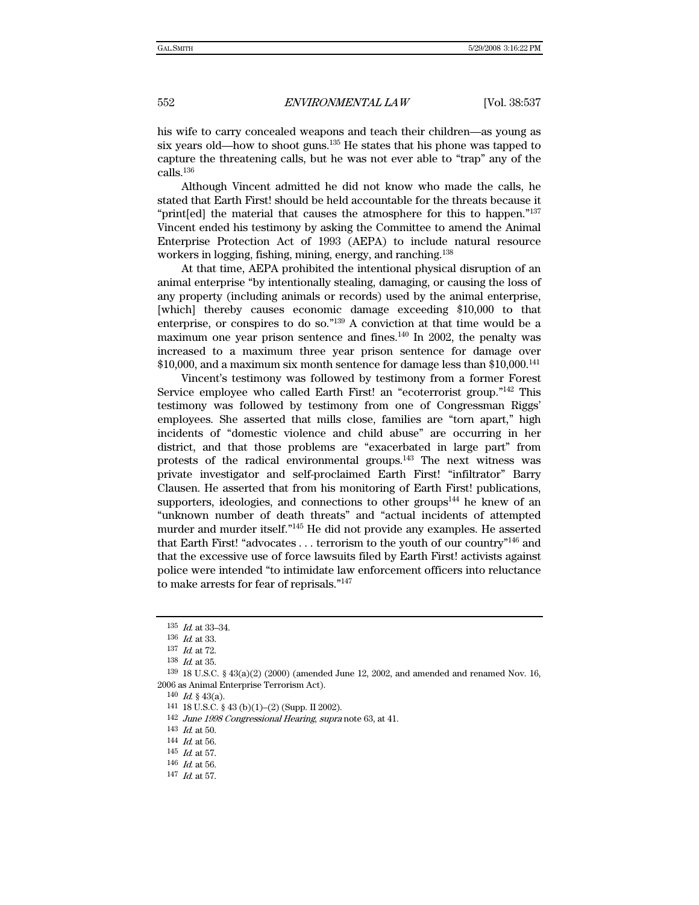his wife to carry concealed weapons and teach their children—as young as six years old—how to shoot guns.135 He states that his phone was tapped to capture the threatening calls, but he was not ever able to "trap" any of the calls.136

Although Vincent admitted he did not know who made the calls, he stated that Earth First! should be held accountable for the threats because it "print[ed] the material that causes the atmosphere for this to happen."137 Vincent ended his testimony by asking the Committee to amend the Animal Enterprise Protection Act of 1993 (AEPA) to include natural resource workers in logging, fishing, mining, energy, and ranching.138

At that time, AEPA prohibited the intentional physical disruption of an animal enterprise "by intentionally stealing, damaging, or causing the loss of any property (including animals or records) used by the animal enterprise, [which] thereby causes economic damage exceeding \$10,000 to that enterprise, or conspires to do so."139 A conviction at that time would be a maximum one year prison sentence and fines. $140$  In 2002, the penalty was increased to a maximum three year prison sentence for damage over \$10,000, and a maximum six month sentence for damage less than \$10,000.141

Vincent's testimony was followed by testimony from a former Forest Service employee who called Earth First! an "ecoterrorist group."142 This testimony was followed by testimony from one of Congressman Riggs' employees. She asserted that mills close, families are "torn apart," high incidents of "domestic violence and child abuse" are occurring in her district, and that those problems are "exacerbated in large part" from protests of the radical environmental groups.143 The next witness was private investigator and self-proclaimed Earth First! "infiltrator" Barry Clausen. He asserted that from his monitoring of Earth First! publications, supporters, ideologies, and connections to other groups $144$  he knew of an "unknown number of death threats" and "actual incidents of attempted murder and murder itself."145 He did not provide any examples. He asserted that Earth First! "advocates . . . terrorism to the youth of our country"146 and that the excessive use of force lawsuits filed by Earth First! activists against police were intended "to intimidate law enforcement officers into reluctance to make arrests for fear of reprisals."147

 $135$  *Id.* at 33–34.

<sup>136</sup> Id. at 33.

<sup>137</sup>  $\,$  Id. at 72.

<sup>138</sup> Id. at 35.

 $139\,18$  U.S.C. §  $43(a)(2)$  (2000) (amended June 12, 2002, and amended and renamed Nov. 16, 2006 as Animal Enterprise Terrorism Act).

<sup>140</sup> Id. § 43(a).<br>141 18 U.S.C. § 43 (b)(1)–(2) (Supp. II 2002).

<sup>142</sup> June 1998 Congressional Hearing, supra note 63, at 41.

 $\frac{143}{144}$  *Id.* at 56.

 $^{145}\,$   $\emph{Id.}$  at 57.

 $146$  *Id.* at 56.

<sup>147</sup> Id. at 57.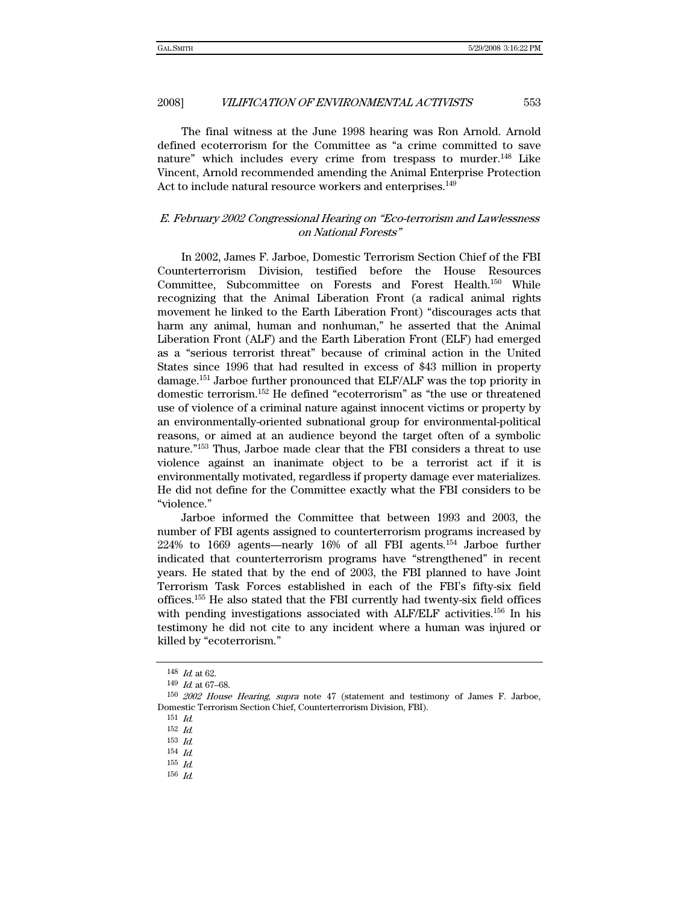The final witness at the June 1998 hearing was Ron Arnold. Arnold defined ecoterrorism for the Committee as "a crime committed to save nature" which includes every crime from trespass to murder.<sup>148</sup> Like Vincent, Arnold recommended amending the Animal Enterprise Protection Act to include natural resource workers and enterprises.<sup>149</sup>

## E. February 2002 Congressional Hearing on "Eco-terrorism and Lawlessness on National Forests"

In 2002, James F. Jarboe, Domestic Terrorism Section Chief of the FBI Counterterrorism Division, testified before the House Resources Committee, Subcommittee on Forests and Forest Health.<sup>150</sup> While recognizing that the Animal Liberation Front (a radical animal rights movement he linked to the Earth Liberation Front) "discourages acts that harm any animal, human and nonhuman," he asserted that the Animal Liberation Front (ALF) and the Earth Liberation Front (ELF) had emerged as a "serious terrorist threat" because of criminal action in the United States since 1996 that had resulted in excess of \$43 million in property damage.151 Jarboe further pronounced that ELF/ALF was the top priority in domestic terrorism.152 He defined "ecoterrorism" as "the use or threatened use of violence of a criminal nature against innocent victims or property by an environmentally-oriented subnational group for environmental-political reasons, or aimed at an audience beyond the target often of a symbolic nature."153 Thus, Jarboe made clear that the FBI considers a threat to use violence against an inanimate object to be a terrorist act if it is environmentally motivated, regardless if property damage ever materializes. He did not define for the Committee exactly what the FBI considers to be "violence."

Jarboe informed the Committee that between 1993 and 2003, the number of FBI agents assigned to counterterrorism programs increased by 224% to 1669 agents—nearly 16% of all FBI agents.154 Jarboe further indicated that counterterrorism programs have "strengthened" in recent years. He stated that by the end of 2003, the FBI planned to have Joint Terrorism Task Forces established in each of the FBI's fifty-six field offices.155 He also stated that the FBI currently had twenty-six field offices with pending investigations associated with ALF/ELF activities.<sup>156</sup> In his testimony he did not cite to any incident where a human was injured or killed by "ecoterrorism."

155 Id. 156 Id.

<sup>148</sup> Id. at 62.

<sup>149</sup> Id. at 67–68.

<sup>150</sup> 2002 House Hearing, supra note 47 (statement and testimony of James F. Jarboe, Domestic Terrorism Section Chief, Counterterrorism Division, FBI).

<sup>151</sup> Id.

<sup>152</sup> Id.

<sup>153</sup> Id.

<sup>154</sup> Id.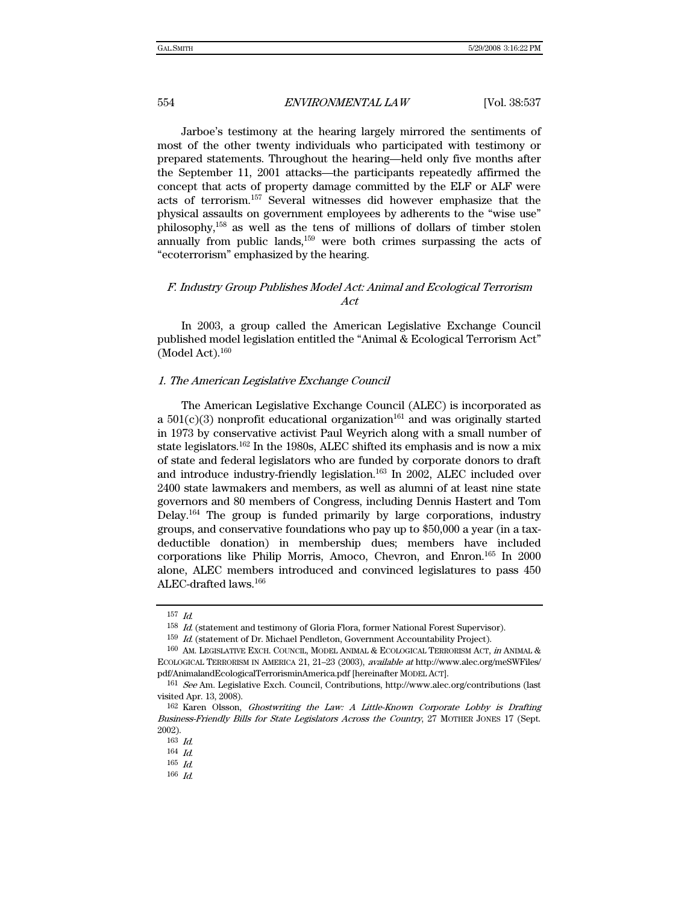Jarboe's testimony at the hearing largely mirrored the sentiments of most of the other twenty individuals who participated with testimony or prepared statements. Throughout the hearing—held only five months after the September 11, 2001 attacks—the participants repeatedly affirmed the concept that acts of property damage committed by the ELF or ALF were acts of terrorism.157 Several witnesses did however emphasize that the physical assaults on government employees by adherents to the "wise use" philosophy,158 as well as the tens of millions of dollars of timber stolen annually from public lands, $159$  were both crimes surpassing the acts of "ecoterrorism" emphasized by the hearing.

## F. Industry Group Publishes Model Act: Animal and Ecological Terrorism Act

In 2003, a group called the American Legislative Exchange Council published model legislation entitled the "Animal & Ecological Terrorism Act" (Model Act). $160$ 

## 1. The American Legislative Exchange Council

The American Legislative Exchange Council (ALEC) is incorporated as a  $501(c)(3)$  nonprofit educational organization<sup>161</sup> and was originally started in 1973 by conservative activist Paul Weyrich along with a small number of state legislators.162 In the 1980s, ALEC shifted its emphasis and is now a mix of state and federal legislators who are funded by corporate donors to draft and introduce industry-friendly legislation.<sup>163</sup> In 2002, ALEC included over 2400 state lawmakers and members, as well as alumni of at least nine state governors and 80 members of Congress, including Dennis Hastert and Tom Delay.164 The group is funded primarily by large corporations, industry groups, and conservative foundations who pay up to \$50,000 a year (in a taxdeductible donation) in membership dues; members have included corporations like Philip Morris, Amoco, Chevron, and Enron.165 In 2000 alone, ALEC members introduced and convinced legislatures to pass 450 ALEC-drafted laws.166

<sup>157</sup> Id.

<sup>158</sup> Id. (statement and testimony of Gloria Flora, former National Forest Supervisor).

<sup>159</sup> Id. (statement of Dr. Michael Pendleton, Government Accountability Project).

<sup>160</sup> AM. LEGISLATIVE EXCH. COUNCIL, MODEL ANIMAL & ECOLOGICAL TERRORISM ACT, in ANIMAL & ECOLOGICAL TERRORISM IN AMERICA 21, 21–23 (2003), available at http://www.alec.org/meSWFiles/ pdf/AnimalandEcologicalTerrorisminAmerica.pdf [hereinafter MODEL ACT].

<sup>161</sup> See Am. Legislative Exch. Council, Contributions, http://www.alec.org/contributions (last visited Apr. 13, 2008).

<sup>162</sup> Karen Olsson, Ghostwriting the Law: A Little-Known Corporate Lobby is Drafting Business-Friendly Bills for State Legislators Across the Country, 27 MOTHER JONES 17 (Sept. 2002).

<sup>163</sup> Id.

<sup>164</sup> Id.

<sup>165</sup> Id.

<sup>166</sup> Id.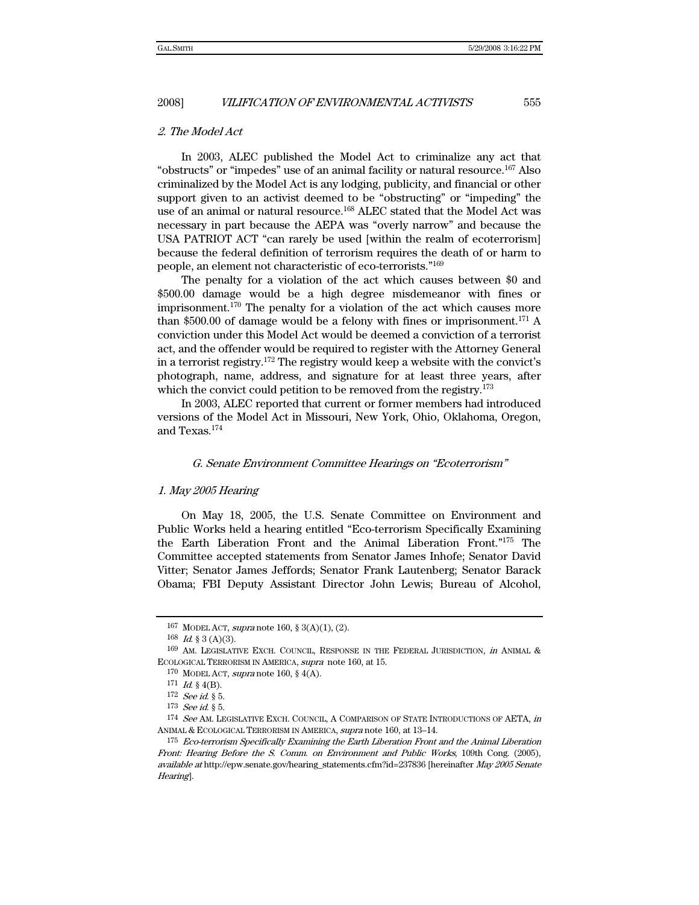## 2. The Model Act

In 2003, ALEC published the Model Act to criminalize any act that "obstructs" or "impedes" use of an animal facility or natural resource.167 Also criminalized by the Model Act is any lodging, publicity, and financial or other support given to an activist deemed to be "obstructing" or "impeding" the use of an animal or natural resource.<sup>168</sup> ALEC stated that the Model Act was necessary in part because the AEPA was "overly narrow" and because the USA PATRIOT ACT "can rarely be used [within the realm of ecoterrorism] because the federal definition of terrorism requires the death of or harm to people, an element not characteristic of eco-terrorists."169

The penalty for a violation of the act which causes between \$0 and \$500.00 damage would be a high degree misdemeanor with fines or imprisonment.170 The penalty for a violation of the act which causes more than \$500.00 of damage would be a felony with fines or imprisonment.<sup>171</sup> A conviction under this Model Act would be deemed a conviction of a terrorist act, and the offender would be required to register with the Attorney General in a terrorist registry.172 The registry would keep a website with the convict's photograph, name, address, and signature for at least three years, after which the convict could petition to be removed from the registry.<sup>173</sup>

In 2003, ALEC reported that current or former members had introduced versions of the Model Act in Missouri, New York, Ohio, Oklahoma, Oregon, and Texas.174

#### G. Senate Environment Committee Hearings on "Ecoterrorism"

#### 1. May 2005 Hearing

On May 18, 2005, the U.S. Senate Committee on Environment and Public Works held a hearing entitled "Eco-terrorism Specifically Examining the Earth Liberation Front and the Animal Liberation Front."175 The Committee accepted statements from Senator James Inhofe; Senator David Vitter; Senator James Jeffords; Senator Frank Lautenberg; Senator Barack Obama; FBI Deputy Assistant Director John Lewis; Bureau of Alcohol,

<sup>167</sup> MODEL ACT, supra note 160, § 3(A)(1), (2).

 $168$  *Id.* § 3 (A)(3).

<sup>169</sup> AM. LEGISLATIVE EXCH. COUNCIL, RESPONSE IN THE FEDERAL JURISDICTION, in ANIMAL & ECOLOGICAL TERRORISM IN AMERICA, supra note 160, at 15.

<sup>170</sup> MODEL ACT, supra note 160, § 4(A).

 $\begin{array}{ll} 171 & \text{Id.} \, \, \text{\&} \, \, 4\text{(B).} \\ 172 & \text{See} \, \, \text{id.} \, \, \text{\&} \, \, 5. \end{array}$ 

 $173$  See id.  $§$  5.

<sup>174</sup> See AM. LEGISLATIVE EXCH. COUNCIL, A COMPARISON OF STATE INTRODUCTIONS OF AETA, in ANIMAL & ECOLOGICAL TERRORISM IN AMERICA, supra note 160, at  $13-14$ .<br><sup>175</sup> Eco-terrorism Specifically Examining the Earth Liberation Front and the Animal Liberation

Front: Hearing Before the S. Comm. on Environment and Public Works, 109th Cong. (2005), available at http://epw.senate.gov/hearing\_statements.cfm?id=237836 [hereinafter May 2005 Senate Hearing].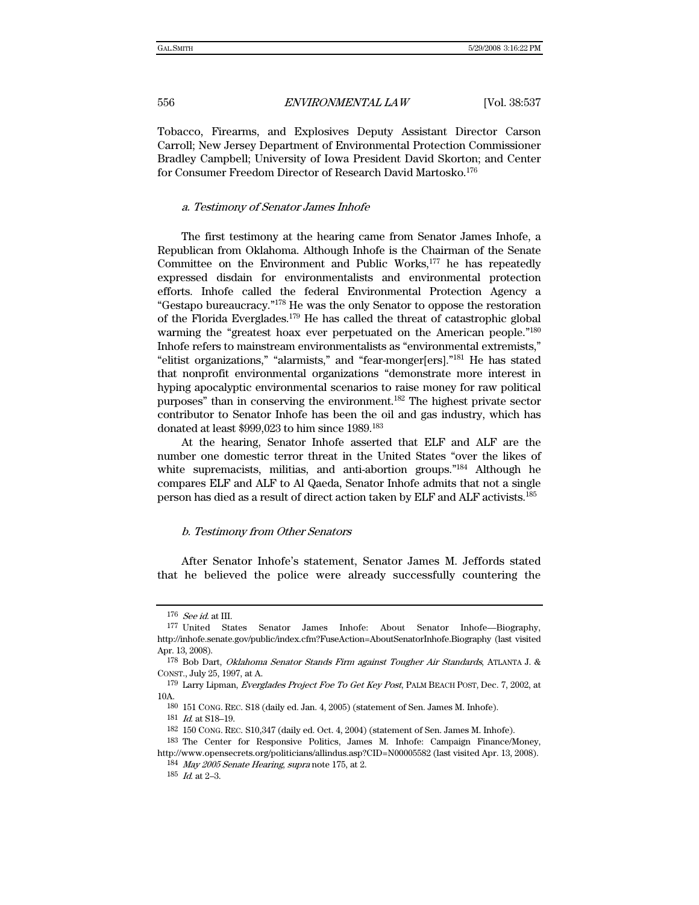Tobacco, Firearms, and Explosives Deputy Assistant Director Carson Carroll; New Jersey Department of Environmental Protection Commissioner Bradley Campbell; University of Iowa President David Skorton; and Center for Consumer Freedom Director of Research David Martosko.176

#### a. Testimony of Senator James Inhofe

The first testimony at the hearing came from Senator James Inhofe, a Republican from Oklahoma. Although Inhofe is the Chairman of the Senate Committee on the Environment and Public Works,<sup>177</sup> he has repeatedly expressed disdain for environmentalists and environmental protection efforts. Inhofe called the federal Environmental Protection Agency a "Gestapo bureaucracy."178 He was the only Senator to oppose the restoration of the Florida Everglades.179 He has called the threat of catastrophic global warming the "greatest hoax ever perpetuated on the American people."180 Inhofe refers to mainstream environmentalists as "environmental extremists," "elitist organizations," "alarmists," and "fear-monger[ers]."181 He has stated that nonprofit environmental organizations "demonstrate more interest in hyping apocalyptic environmental scenarios to raise money for raw political purposes" than in conserving the environment.182 The highest private sector contributor to Senator Inhofe has been the oil and gas industry, which has donated at least \$999,023 to him since 1989.183

At the hearing, Senator Inhofe asserted that ELF and ALF are the number one domestic terror threat in the United States "over the likes of white supremacists, militias, and anti-abortion groups."<sup>184</sup> Although he compares ELF and ALF to Al Qaeda, Senator Inhofe admits that not a single person has died as a result of direct action taken by ELF and ALF activists.185

### b. Testimony from Other Senators

After Senator Inhofe's statement, Senator James M. Jeffords stated that he believed the police were already successfully countering the

<sup>176</sup> See id. at III.

<sup>177</sup> United States Senator James Inhofe: About Senator Inhofe—Biography, http://inhofe.senate.gov/public/index.cfm?FuseAction=AboutSenatorInhofe.Biography (last visited Apr. 13, 2008).

<sup>178</sup> Bob Dart, Oklahoma Senator Stands Firm against Tougher Air Standards, ATLANTA J. & CONST., July 25, 1997, at A.

<sup>179</sup> Larry Lipman, Everglades Project Foe To Get Key Post, PALM BEACH POST, Dec. 7, 2002, at 10A.

<sup>180 151</sup> CONG. REC. S18 (daily ed. Jan. 4, 2005) (statement of Sen. James M. Inhofe).

<sup>181</sup>  $\,$  Id. at S18-19.

<sup>182 150</sup> CONG. REC. S10,347 (daily ed. Oct. 4, 2004) (statement of Sen. James M. Inhofe).

<sup>183</sup> The Center for Responsive Politics, James M. Inhofe: Campaign Finance/Money, http://www.opensecrets.org/politicians/allindus.asp?CID=N00005582 (last visited Apr. 13, 2008).

<sup>184</sup> May 2005 Senate Hearing, supra note 175, at 2.

 $185$  *Id.* at  $2-3$ .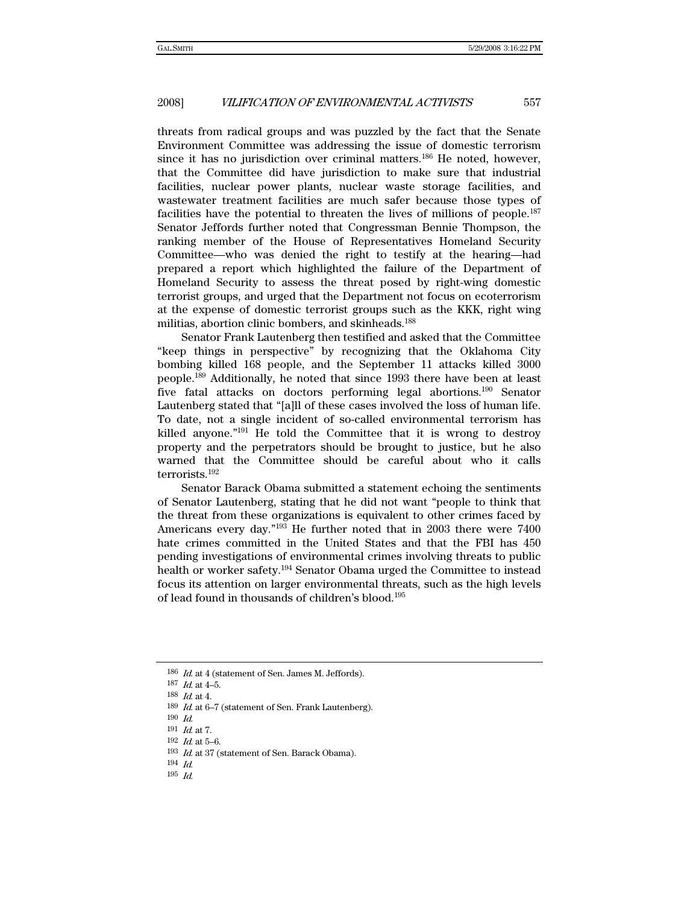threats from radical groups and was puzzled by the fact that the Senate Environment Committee was addressing the issue of domestic terrorism since it has no jurisdiction over criminal matters.<sup>186</sup> He noted, however, that the Committee did have jurisdiction to make sure that industrial facilities, nuclear power plants, nuclear waste storage facilities, and wastewater treatment facilities are much safer because those types of facilities have the potential to threaten the lives of millions of people.187 Senator Jeffords further noted that Congressman Bennie Thompson, the ranking member of the House of Representatives Homeland Security Committee—who was denied the right to testify at the hearing—had prepared a report which highlighted the failure of the Department of Homeland Security to assess the threat posed by right-wing domestic terrorist groups, and urged that the Department not focus on ecoterrorism at the expense of domestic terrorist groups such as the KKK, right wing militias, abortion clinic bombers, and skinheads.<sup>188</sup>

Senator Frank Lautenberg then testified and asked that the Committee "keep things in perspective" by recognizing that the Oklahoma City bombing killed 168 people, and the September 11 attacks killed 3000 people.189 Additionally, he noted that since 1993 there have been at least five fatal attacks on doctors performing legal abortions.190 Senator Lautenberg stated that "[a]ll of these cases involved the loss of human life. To date, not a single incident of so-called environmental terrorism has killed anyone."191 He told the Committee that it is wrong to destroy property and the perpetrators should be brought to justice, but he also warned that the Committee should be careful about who it calls terrorists.<sup>192</sup>

Senator Barack Obama submitted a statement echoing the sentiments of Senator Lautenberg, stating that he did not want "people to think that the threat from these organizations is equivalent to other crimes faced by Americans every day."193 He further noted that in 2003 there were 7400 hate crimes committed in the United States and that the FBI has 450 pending investigations of environmental crimes involving threats to public health or worker safety.194 Senator Obama urged the Committee to instead focus its attention on larger environmental threats, such as the high levels of lead found in thousands of children's blood.195

<sup>186</sup> Id. at 4 (statement of Sen. James M. Jeffords).

<sup>187</sup>  $Id.$  at 4-5.

 $^{188}$   $\emph{Id.}$  at 4.

<sup>189</sup> Id. at 6-7 (statement of Sen. Frank Lautenberg).

<sup>190</sup> Id.

<sup>191</sup>  $Id.$  at 7.

 $192$  *Id.* at 5-6.

<sup>193</sup> Id. at 37 (statement of Sen. Barack Obama).

<sup>194</sup> Id.

 $195$  *Id.*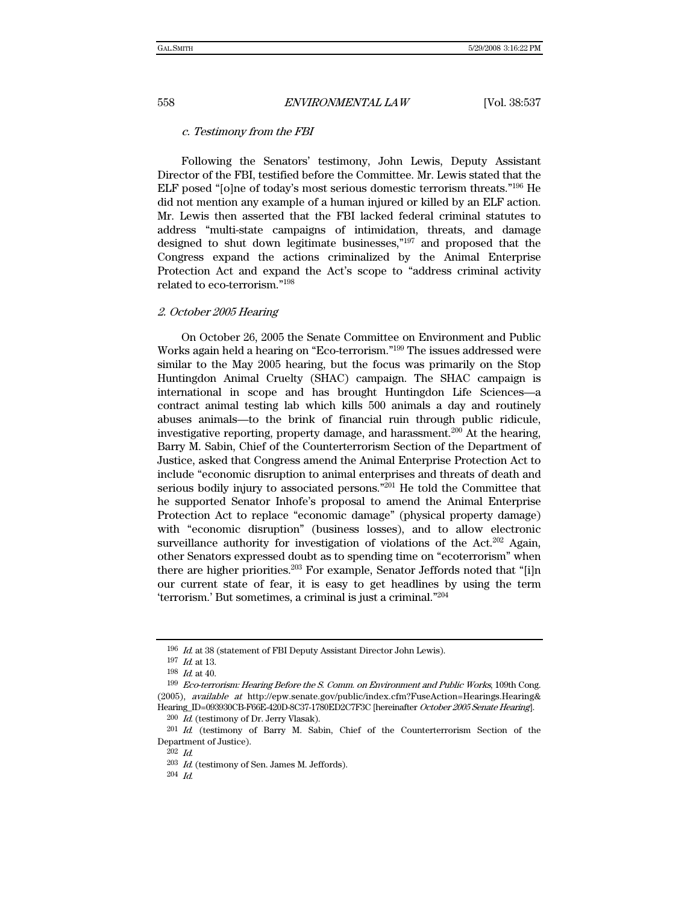#### c. Testimony from the FBI

Following the Senators' testimony, John Lewis, Deputy Assistant Director of the FBI, testified before the Committee. Mr. Lewis stated that the ELF posed "[o]ne of today's most serious domestic terrorism threats."196 He did not mention any example of a human injured or killed by an ELF action. Mr. Lewis then asserted that the FBI lacked federal criminal statutes to address "multi-state campaigns of intimidation, threats, and damage designed to shut down legitimate businesses,"197 and proposed that the Congress expand the actions criminalized by the Animal Enterprise Protection Act and expand the Act's scope to "address criminal activity related to eco-terrorism."198

## 2. October 2005 Hearing

On October 26, 2005 the Senate Committee on Environment and Public Works again held a hearing on "Eco-terrorism."199 The issues addressed were similar to the May 2005 hearing, but the focus was primarily on the Stop Huntingdon Animal Cruelty (SHAC) campaign. The SHAC campaign is international in scope and has brought Huntingdon Life Sciences—a contract animal testing lab which kills 500 animals a day and routinely abuses animals—to the brink of financial ruin through public ridicule, investigative reporting, property damage, and harassment.<sup>200</sup> At the hearing, Barry M. Sabin, Chief of the Counterterrorism Section of the Department of Justice, asked that Congress amend the Animal Enterprise Protection Act to include "economic disruption to animal enterprises and threats of death and serious bodily injury to associated persons."201 He told the Committee that he supported Senator Inhofe's proposal to amend the Animal Enterprise Protection Act to replace "economic damage" (physical property damage) with "economic disruption" (business losses), and to allow electronic surveillance authority for investigation of violations of the Act.<sup>202</sup> Again, other Senators expressed doubt as to spending time on "ecoterrorism" when there are higher priorities.<sup>203</sup> For example, Senator Jeffords noted that "[i]n our current state of fear, it is easy to get headlines by using the term 'terrorism.' But sometimes, a criminal is just a criminal."204

<sup>196</sup> Id. at 38 (statement of FBI Deputy Assistant Director John Lewis).

<sup>197</sup> Id. at 13.

<sup>198</sup> Id. at 40.

<sup>199</sup> Eco-terrorism: Hearing Before the S. Comm. on Environment and Public Works, 109th Cong. (2005), available at http://epw.senate.gov/public/index.cfm?FuseAction=Hearings.Hearing& Hearing\_ID=093930CB-F66E-420D-8C37-1780ED2C7F3C [hereinafter October 2005 Senate Hearing].

<sup>200</sup> Id. (testimony of Dr. Jerry Vlasak).

<sup>201</sup> Id. (testimony of Barry M. Sabin, Chief of the Counterterrorism Section of the Department of Justice).

<sup>202</sup> Id.

 $^{203}\,$   $Id.$  (testimony of Sen. James M. Jeffords).

<sup>204</sup> Id.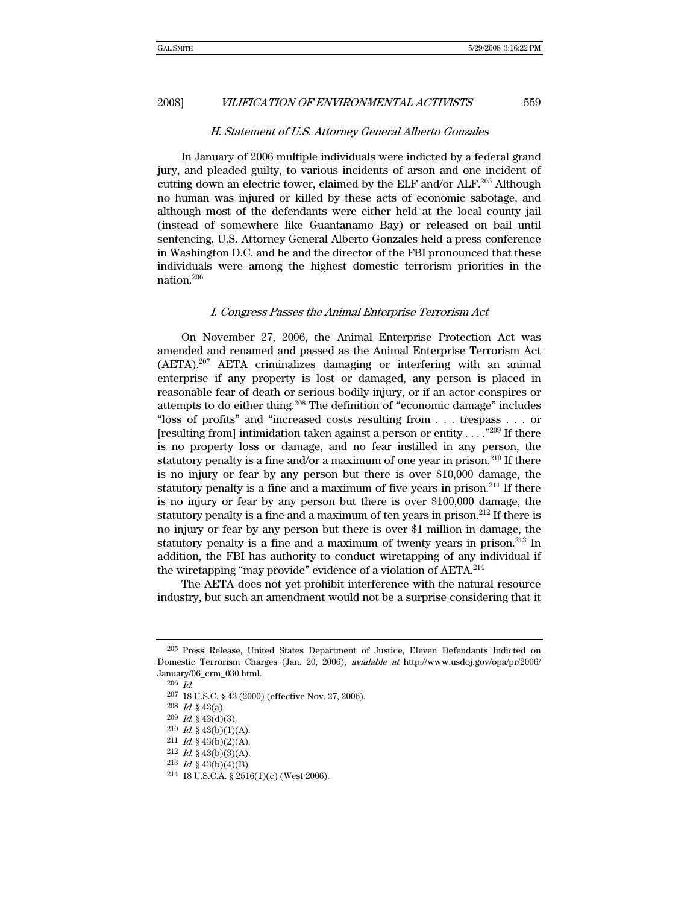#### H. Statement of U.S. Attorney General Alberto Gonzales

In January of 2006 multiple individuals were indicted by a federal grand jury, and pleaded guilty, to various incidents of arson and one incident of cutting down an electric tower, claimed by the ELF and/or  $ALF$ <sup>205</sup> Although no human was injured or killed by these acts of economic sabotage, and although most of the defendants were either held at the local county jail (instead of somewhere like Guantanamo Bay) or released on bail until sentencing, U.S. Attorney General Alberto Gonzales held a press conference in Washington D.C. and he and the director of the FBI pronounced that these individuals were among the highest domestic terrorism priorities in the nation.206

### I. Congress Passes the Animal Enterprise Terrorism Act

On November 27, 2006, the Animal Enterprise Protection Act was amended and renamed and passed as the Animal Enterprise Terrorism Act (AETA).207 AETA criminalizes damaging or interfering with an animal enterprise if any property is lost or damaged, any person is placed in reasonable fear of death or serious bodily injury, or if an actor conspires or attempts to do either thing.208 The definition of "economic damage" includes "loss of profits" and "increased costs resulting from . . . trespass . . . or [resulting from] intimidation taken against a person or entity . . . ."209 If there is no property loss or damage, and no fear instilled in any person, the statutory penalty is a fine and/or a maximum of one year in prison.<sup>210</sup> If there is no injury or fear by any person but there is over \$10,000 damage, the statutory penalty is a fine and a maximum of five years in prison.<sup>211</sup> If there is no injury or fear by any person but there is over \$100,000 damage, the statutory penalty is a fine and a maximum of ten years in prison.<sup>212</sup> If there is no injury or fear by any person but there is over \$1 million in damage, the statutory penalty is a fine and a maximum of twenty years in prison.<sup>213</sup> In addition, the FBI has authority to conduct wiretapping of any individual if the wiretapping "may provide" evidence of a violation of AETA.<sup>214</sup>

The AETA does not yet prohibit interference with the natural resource industry, but such an amendment would not be a surprise considering that it

<sup>205</sup> Press Release, United States Department of Justice, Eleven Defendants Indicted on Domestic Terrorism Charges (Jan. 20, 2006), available at http://www.usdoj.gov/opa/pr/2006/ January/06\_crm\_030.html.

<sup>206</sup> Id.

<sup>207 18</sup> U.S.C. § 43 (2000) (effective Nov. 27, 2006).

<sup>208</sup> Id. § 43(a).

 $209$  *Id.* § 43(d)(3).

 $210$  *Id.* § 43(b)(1)(A).

 $211$  *Id.* § 43(b)(2)(A).

 $212$  *Id.* § 43(b)(3)(A).

<sup>213</sup>  $Id.$  § 43(b)(4)(B).

<sup>214 18</sup> U.S.C.A. § 2516(1)(c) (West 2006).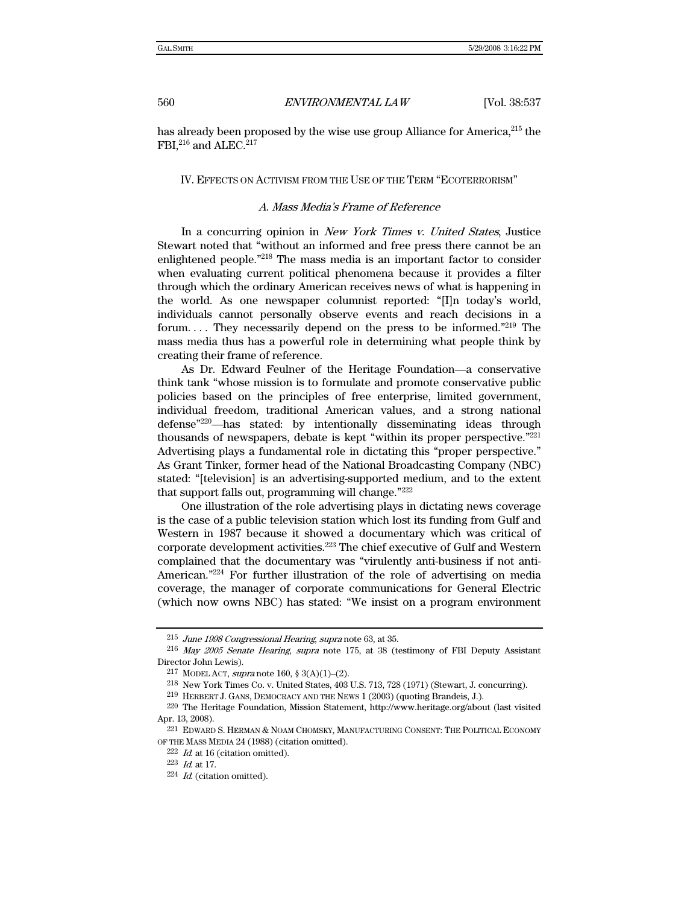has already been proposed by the wise use group Alliance for America, <sup>215</sup> the FBI,<sup>216</sup> and ALEC.<sup>217</sup>

#### IV. EFFECTS ON ACTIVISM FROM THE USE OF THE TERM "ECOTERRORISM"

## A. Mass Media's Frame of Reference

In a concurring opinion in New York Times v. United States, Justice Stewart noted that "without an informed and free press there cannot be an enlightened people."218 The mass media is an important factor to consider when evaluating current political phenomena because it provides a filter through which the ordinary American receives news of what is happening in the world. As one newspaper columnist reported: "[I]n today's world, individuals cannot personally observe events and reach decisions in a forum.... They necessarily depend on the press to be informed."<sup>219</sup> The mass media thus has a powerful role in determining what people think by creating their frame of reference.

As Dr. Edward Feulner of the Heritage Foundation—a conservative think tank "whose mission is to formulate and promote conservative public policies based on the principles of free enterprise, limited government, individual freedom, traditional American values, and a strong national defense"220—has stated: by intentionally disseminating ideas through thousands of newspapers, debate is kept "within its proper perspective."221 Advertising plays a fundamental role in dictating this "proper perspective." As Grant Tinker, former head of the National Broadcasting Company (NBC) stated: "[television] is an advertising-supported medium, and to the extent that support falls out, programming will change."222

One illustration of the role advertising plays in dictating news coverage is the case of a public television station which lost its funding from Gulf and Western in 1987 because it showed a documentary which was critical of corporate development activities.223 The chief executive of Gulf and Western complained that the documentary was "virulently anti-business if not anti-American."224 For further illustration of the role of advertising on media coverage, the manager of corporate communications for General Electric (which now owns NBC) has stated: "We insist on a program environment

<sup>215</sup> June 1998 Congressional Hearing, supra note 63, at 35.

<sup>216</sup> May 2005 Senate Hearing, supra note 175, at 38 (testimony of FBI Deputy Assistant Director John Lewis).

<sup>&</sup>lt;sup>217</sup> MODEL ACT, *supra* note 160, § 3(A)(1)–(2).

<sup>218</sup> New York Times Co. v. United States, 403 U.S. 713, 728 (1971) (Stewart, J. concurring).

<sup>219</sup> HERBERT J. GANS, DEMOCRACY AND THE NEWS 1 (2003) (quoting Brandeis, J.).

<sup>220</sup> The Heritage Foundation, Mission Statement, http://www.heritage.org/about (last visited Apr. 13, 2008).

<sup>221</sup> EDWARD S. HERMAN & NOAM CHOMSKY, MANUFACTURING CONSENT: THE POLITICAL ECONOMY OF THE MASS MEDIA 24 (1988) (citation omitted).

 $222$  *Id.* at 16 (citation omitted).

<sup>223</sup> Id. at 17.

 $224$  *Id.* (citation omitted).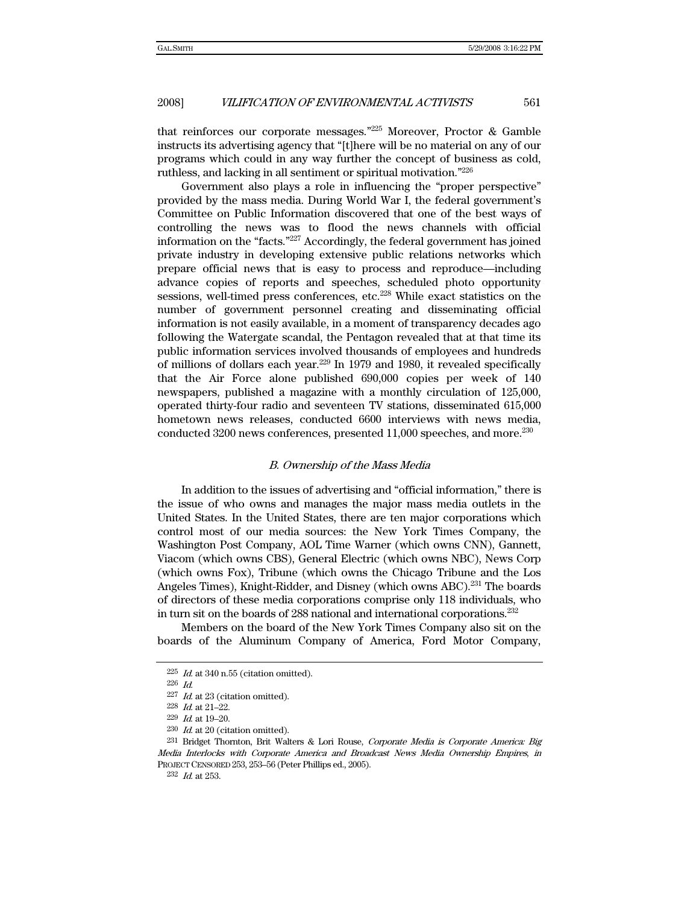that reinforces our corporate messages."225 Moreover, Proctor & Gamble instructs its advertising agency that "[t]here will be no material on any of our programs which could in any way further the concept of business as cold, ruthless, and lacking in all sentiment or spiritual motivation."226

Government also plays a role in influencing the "proper perspective" provided by the mass media. During World War I, the federal government's Committee on Public Information discovered that one of the best ways of controlling the news was to flood the news channels with official information on the "facts."227 Accordingly, the federal government has joined private industry in developing extensive public relations networks which prepare official news that is easy to process and reproduce—including advance copies of reports and speeches, scheduled photo opportunity sessions, well-timed press conferences, etc.<sup>228</sup> While exact statistics on the number of government personnel creating and disseminating official information is not easily available, in a moment of transparency decades ago following the Watergate scandal, the Pentagon revealed that at that time its public information services involved thousands of employees and hundreds of millions of dollars each year.229 In 1979 and 1980, it revealed specifically that the Air Force alone published 690,000 copies per week of 140 newspapers, published a magazine with a monthly circulation of 125,000, operated thirty-four radio and seventeen TV stations, disseminated 615,000 hometown news releases, conducted 6600 interviews with news media, conducted 3200 news conferences, presented 11,000 speeches, and more.230

#### B. Ownership of the Mass Media

In addition to the issues of advertising and "official information," there is the issue of who owns and manages the major mass media outlets in the United States. In the United States, there are ten major corporations which control most of our media sources: the New York Times Company, the Washington Post Company, AOL Time Warner (which owns CNN), Gannett, Viacom (which owns CBS), General Electric (which owns NBC), News Corp (which owns Fox), Tribune (which owns the Chicago Tribune and the Los Angeles Times), Knight-Ridder, and Disney (which owns ABC).<sup>231</sup> The boards of directors of these media corporations comprise only 118 individuals, who in turn sit on the boards of 288 national and international corporations.232

Members on the board of the New York Times Company also sit on the boards of the Aluminum Company of America, Ford Motor Company,

 $225$  *Id.* at 340 n.55 (citation omitted).

<sup>226</sup> Id.

 $^{227}\,$   $Id$  at  $23$  (citation omitted).

<sup>228</sup> Id. at 21–22.

 $229$  *Id.* at 19-20.

 $230$  *Id.* at 20 (citation omitted).

<sup>231</sup> Bridget Thornton, Brit Walters & Lori Rouse, Corporate Media is Corporate America: Big Media Interlocks with Corporate America and Broadcast News Media Ownership Empires, in PROJECT CENSORED 253, 253–56 (Peter Phillips ed., 2005).

<sup>232</sup> Id. at 253.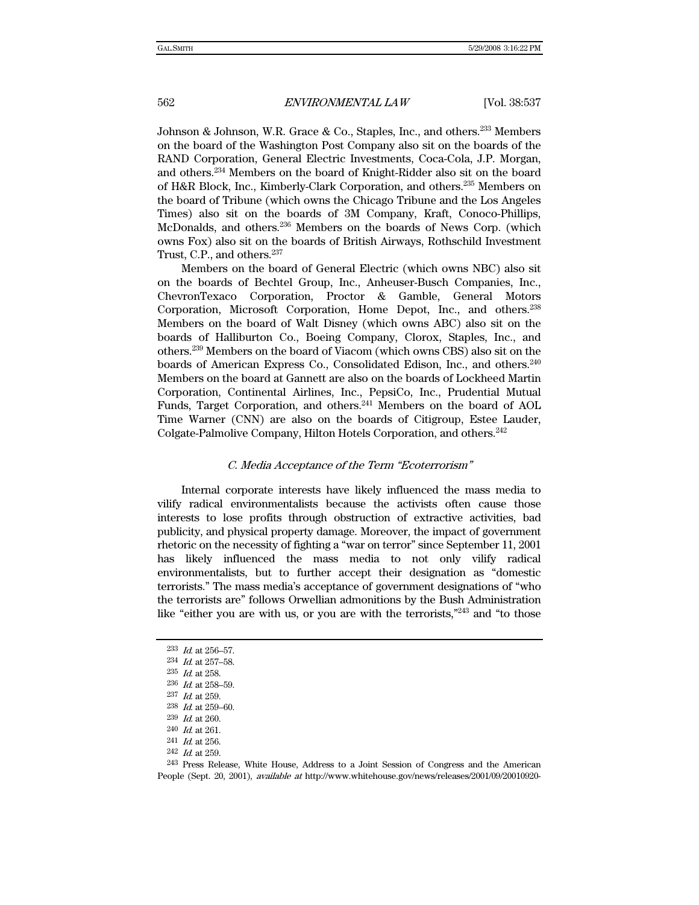Johnson & Johnson, W.R. Grace & Co., Staples, Inc., and others.<sup>233</sup> Members on the board of the Washington Post Company also sit on the boards of the RAND Corporation, General Electric Investments, Coca-Cola, J.P. Morgan, and others.234 Members on the board of Knight-Ridder also sit on the board of H&R Block, Inc., Kimberly-Clark Corporation, and others.235 Members on the board of Tribune (which owns the Chicago Tribune and the Los Angeles Times) also sit on the boards of 3M Company, Kraft, Conoco-Phillips, McDonalds, and others.236 Members on the boards of News Corp. (which owns Fox) also sit on the boards of British Airways, Rothschild Investment Trust, C.P., and others.<sup>237</sup>

Members on the board of General Electric (which owns NBC) also sit on the boards of Bechtel Group, Inc., Anheuser-Busch Companies, Inc., ChevronTexaco Corporation, Proctor & Gamble, General Motors Corporation, Microsoft Corporation, Home Depot, Inc., and others.238 Members on the board of Walt Disney (which owns ABC) also sit on the boards of Halliburton Co., Boeing Company, Clorox, Staples, Inc., and others.239 Members on the board of Viacom (which owns CBS) also sit on the boards of American Express Co., Consolidated Edison, Inc., and others.240 Members on the board at Gannett are also on the boards of Lockheed Martin Corporation, Continental Airlines, Inc., PepsiCo, Inc., Prudential Mutual Funds, Target Corporation, and others.<sup>241</sup> Members on the board of AOL Time Warner (CNN) are also on the boards of Citigroup, Estee Lauder, Colgate-Palmolive Company, Hilton Hotels Corporation, and others.<sup>242</sup>

#### C. Media Acceptance of the Term "Ecoterrorism"

Internal corporate interests have likely influenced the mass media to vilify radical environmentalists because the activists often cause those interests to lose profits through obstruction of extractive activities, bad publicity, and physical property damage. Moreover, the impact of government rhetoric on the necessity of fighting a "war on terror" since September 11, 2001 has likely influenced the mass media to not only vilify radical environmentalists, but to further accept their designation as "domestic terrorists." The mass media's acceptance of government designations of "who the terrorists are" follows Orwellian admonitions by the Bush Administration like "either you are with us, or you are with the terrorists,"<sup>243</sup> and "to those

<sup>233</sup> Id. at 256–57.

<sup>234</sup> Id. at 257–58.

<sup>235</sup> Id. at 258.

<sup>236</sup> Id. at 258–59.

 $^{237}\,$   $Id.$  at 259.

<sup>238</sup> Id. at 259–60.

 $239$  *Id.* at 260.

<sup>240</sup> Id. at 261.

<sup>241</sup> Id. at 256.

<sup>242</sup> Id. at 259.

<sup>243</sup> Press Release, White House, Address to a Joint Session of Congress and the American People (Sept. 20, 2001), available at http://www.whitehouse.gov/news/releases/2001/09/20010920-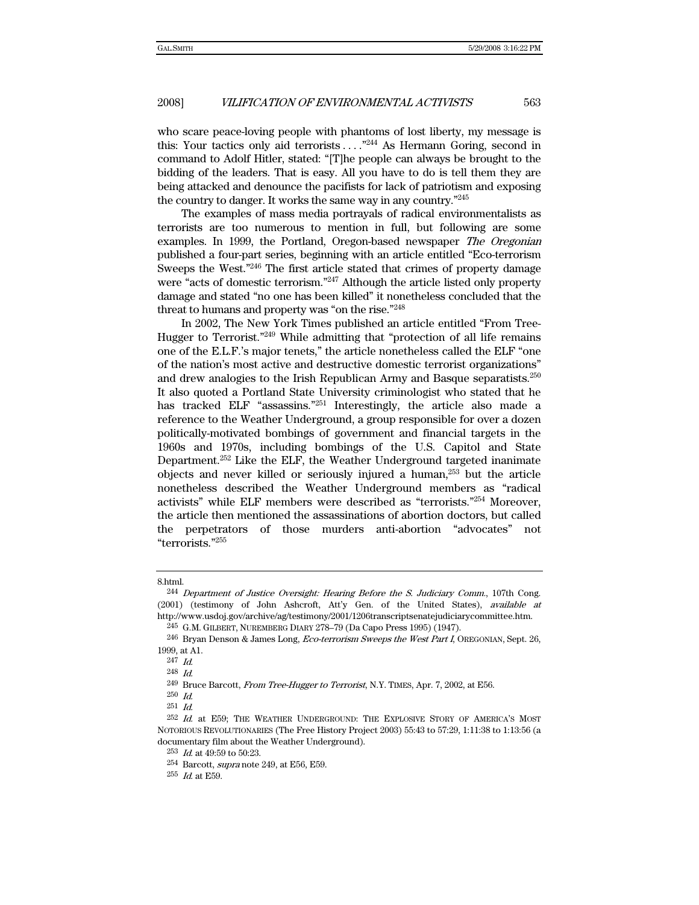who scare peace-loving people with phantoms of lost liberty, my message is this: Your tactics only aid terrorists  $\dots$ <sup>244</sup> As Hermann Goring, second in command to Adolf Hitler, stated: "[T]he people can always be brought to the bidding of the leaders. That is easy. All you have to do is tell them they are being attacked and denounce the pacifists for lack of patriotism and exposing the country to danger. It works the same way in any country."245

The examples of mass media portrayals of radical environmentalists as terrorists are too numerous to mention in full, but following are some examples. In 1999, the Portland, Oregon-based newspaper The Oregonian published a four-part series, beginning with an article entitled "Eco-terrorism Sweeps the West."246 The first article stated that crimes of property damage were "acts of domestic terrorism."<sup>247</sup> Although the article listed only property damage and stated "no one has been killed" it nonetheless concluded that the threat to humans and property was "on the rise."248

In 2002, The New York Times published an article entitled "From Tree-Hugger to Terrorist."249 While admitting that "protection of all life remains one of the E.L.F.'s major tenets," the article nonetheless called the ELF "one of the nation's most active and destructive domestic terrorist organizations" and drew analogies to the Irish Republican Army and Basque separatists.250 It also quoted a Portland State University criminologist who stated that he has tracked ELF "assassins."<sup>251</sup> Interestingly, the article also made a reference to the Weather Underground, a group responsible for over a dozen politically-motivated bombings of government and financial targets in the 1960s and 1970s, including bombings of the U.S. Capitol and State Department.252 Like the ELF, the Weather Underground targeted inanimate objects and never killed or seriously injured a human, $253$  but the article nonetheless described the Weather Underground members as "radical activists" while ELF members were described as "terrorists."254 Moreover, the article then mentioned the assassinations of abortion doctors, but called the perpetrators of those murders anti-abortion "advocates" not "terrorists."255

<sup>8.</sup>html.

<sup>244</sup> Department of Justice Oversight: Hearing Before the S. Judiciary Comm., 107th Cong. (2001) (testimony of John Ashcroft, Att'y Gen. of the United States), available at http://www.usdoj.gov/archive/ag/testimony/2001/1206transcriptsenatejudiciarycommittee.htm.

<sup>245</sup> G.M. GILBERT, NUREMBERG DIARY 278–79 (Da Capo Press 1995) (1947).

<sup>246</sup> Bryan Denson & James Long, Eco-terrorism Sweeps the West Part I, OREGONIAN, Sept. 26, 1999, at A1.

<sup>247</sup> Id.

<sup>248</sup> Id.

<sup>249</sup> Bruce Barcott, From Tree-Hugger to Terrorist, N.Y. TIMES, Apr. 7, 2002, at E56.

<sup>250</sup> Id.  $251$  *Id.* 

<sup>&</sup>lt;sup>252</sup> Id. at E59; THE WEATHER UNDERGROUND: THE EXPLOSIVE STORY OF AMERICA'S MOST NOTORIOUS REVOLUTIONARIES (The Free History Project 2003) 55:43 to 57:29, 1:11:38 to 1:13:56 (a documentary film about the Weather Underground).

<sup>253</sup> Id. at 49:59 to 50:23.

<sup>254</sup> Barcott, supra note 249, at E56, E59.

 $255$  *Id.* at E59.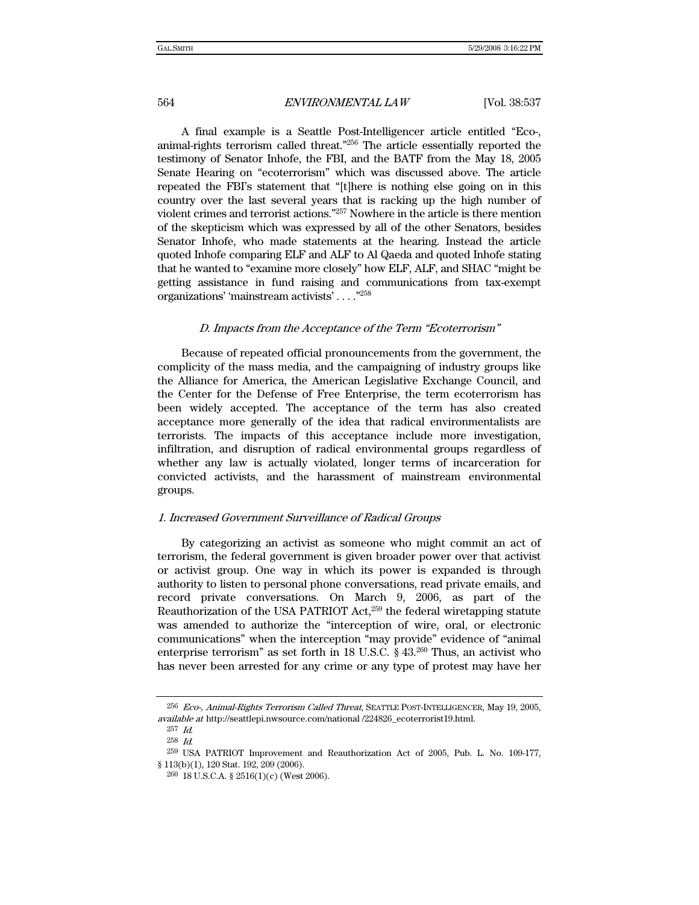A final example is a Seattle Post-Intelligencer article entitled "Eco-, animal-rights terrorism called threat."256 The article essentially reported the testimony of Senator Inhofe, the FBI, and the BATF from the May 18, 2005 Senate Hearing on "ecoterrorism" which was discussed above. The article repeated the FBI's statement that "[t]here is nothing else going on in this country over the last several years that is racking up the high number of violent crimes and terrorist actions."257 Nowhere in the article is there mention of the skepticism which was expressed by all of the other Senators, besides Senator Inhofe, who made statements at the hearing. Instead the article quoted Inhofe comparing ELF and ALF to Al Qaeda and quoted Inhofe stating that he wanted to "examine more closely" how ELF, ALF, and SHAC "might be getting assistance in fund raising and communications from tax-exempt organizations' 'mainstream activists' . . . ."258

#### D. Impacts from the Acceptance of the Term "Ecoterrorism"

Because of repeated official pronouncements from the government, the complicity of the mass media, and the campaigning of industry groups like the Alliance for America, the American Legislative Exchange Council, and the Center for the Defense of Free Enterprise, the term ecoterrorism has been widely accepted. The acceptance of the term has also created acceptance more generally of the idea that radical environmentalists are terrorists. The impacts of this acceptance include more investigation, infiltration, and disruption of radical environmental groups regardless of whether any law is actually violated, longer terms of incarceration for convicted activists, and the harassment of mainstream environmental groups.

#### 1. Increased Government Surveillance of Radical Groups

By categorizing an activist as someone who might commit an act of terrorism, the federal government is given broader power over that activist or activist group. One way in which its power is expanded is through authority to listen to personal phone conversations, read private emails, and record private conversations. On March 9, 2006, as part of the Reauthorization of the USA PATRIOT  $Act.^{259}$  the federal wiretapping statute was amended to authorize the "interception of wire, oral, or electronic communications" when the interception "may provide" evidence of "animal enterprise terrorism" as set forth in 18 U.S.C.  $\S$  43.<sup>260</sup> Thus, an activist who has never been arrested for any crime or any type of protest may have her

<sup>&</sup>lt;sup>256</sup> Eco-, Animal-Rights Terrorism Called Threat, SEATTLE POST-INTELLIGENCER, May 19, 2005, available at http://seattlepi.nwsource.com/national /224826\_ecoterrorist19.html.

<sup>257</sup> Id. 258 Id.

<sup>259</sup> USA PATRIOT Improvement and Reauthorization Act of 2005, Pub. L. No. 109-177, § 113(b)(1), 120 Stat. 192, 209 (2006).

<sup>260 18</sup> U.S.C.A. § 2516(1)(c) (West 2006).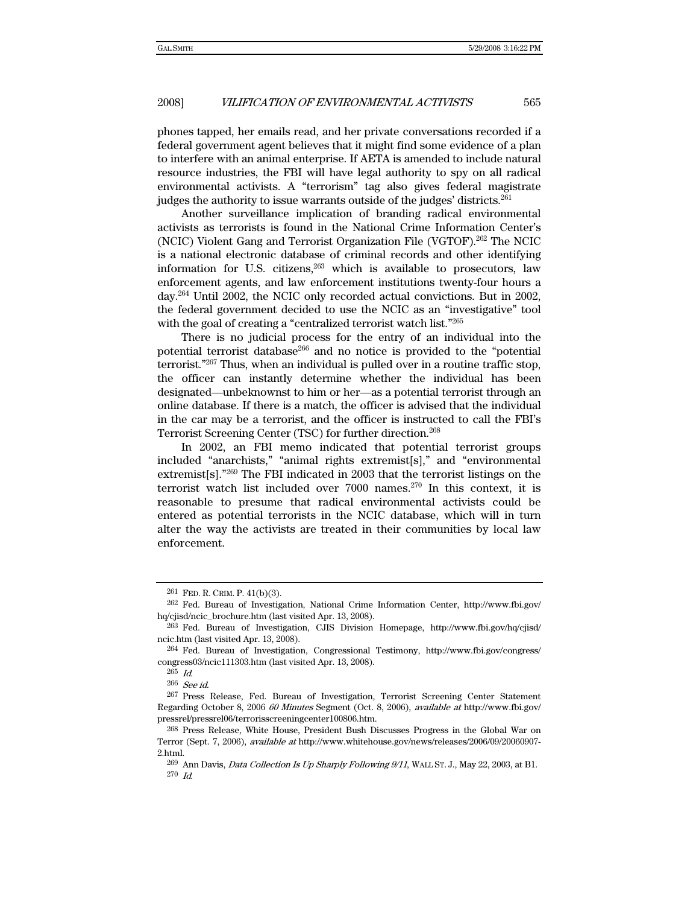phones tapped, her emails read, and her private conversations recorded if a federal government agent believes that it might find some evidence of a plan to interfere with an animal enterprise. If AETA is amended to include natural resource industries, the FBI will have legal authority to spy on all radical environmental activists. A "terrorism" tag also gives federal magistrate judges the authority to issue warrants outside of the judges' districts.261

Another surveillance implication of branding radical environmental activists as terrorists is found in the National Crime Information Center's (NCIC) Violent Gang and Terrorist Organization File (VGTOF).262 The NCIC is a national electronic database of criminal records and other identifying information for U.S. citizens, $263$  which is available to prosecutors, law enforcement agents, and law enforcement institutions twenty-four hours a day.264 Until 2002, the NCIC only recorded actual convictions. But in 2002, the federal government decided to use the NCIC as an "investigative" tool with the goal of creating a "centralized terrorist watch list."265

There is no judicial process for the entry of an individual into the potential terrorist database266 and no notice is provided to the "potential terrorist."267 Thus, when an individual is pulled over in a routine traffic stop, the officer can instantly determine whether the individual has been designated—unbeknownst to him or her—as a potential terrorist through an online database. If there is a match, the officer is advised that the individual in the car may be a terrorist, and the officer is instructed to call the FBI's Terrorist Screening Center (TSC) for further direction.268

In 2002, an FBI memo indicated that potential terrorist groups included "anarchists," "animal rights extremist[s]," and "environmental extremist[s]."269 The FBI indicated in 2003 that the terrorist listings on the terrorist watch list included over  $7000$  names.<sup>270</sup> In this context, it is reasonable to presume that radical environmental activists could be entered as potential terrorists in the NCIC database, which will in turn alter the way the activists are treated in their communities by local law enforcement.

<sup>261</sup> FED. R. CRIM. P. 41(b)(3).

<sup>262</sup> Fed. Bureau of Investigation, National Crime Information Center, http://www.fbi.gov/ hq/cjisd/ncic\_brochure.htm (last visited Apr. 13, 2008).

<sup>263</sup> Fed. Bureau of Investigation, CJIS Division Homepage, http://www.fbi.gov/hq/cjisd/ ncic.htm (last visited Apr. 13, 2008).

<sup>264</sup> Fed. Bureau of Investigation, Congressional Testimony, http://www.fbi.gov/congress/ congress03/ncic111303.htm (last visited Apr. 13, 2008).

<sup>265</sup> Id.

<sup>266</sup> See id.

<sup>267</sup> Press Release, Fed. Bureau of Investigation, Terrorist Screening Center Statement Regarding October 8, 2006 60 Minutes Segment (Oct. 8, 2006), available at http://www.fbi.gov/ pressrel/pressrel06/terrorisscreeningcenter100806.htm.

<sup>268</sup> Press Release, White House, President Bush Discusses Progress in the Global War on Terror (Sept. 7, 2006), available at http://www.whitehouse.gov/news/releases/2006/09/20060907- 2.html.

 $^{269}$  Ann Davis, Data Collection Is Up Sharply Following 9/11, WALL ST. J., May 22, 2003, at B1.  $270$  Id.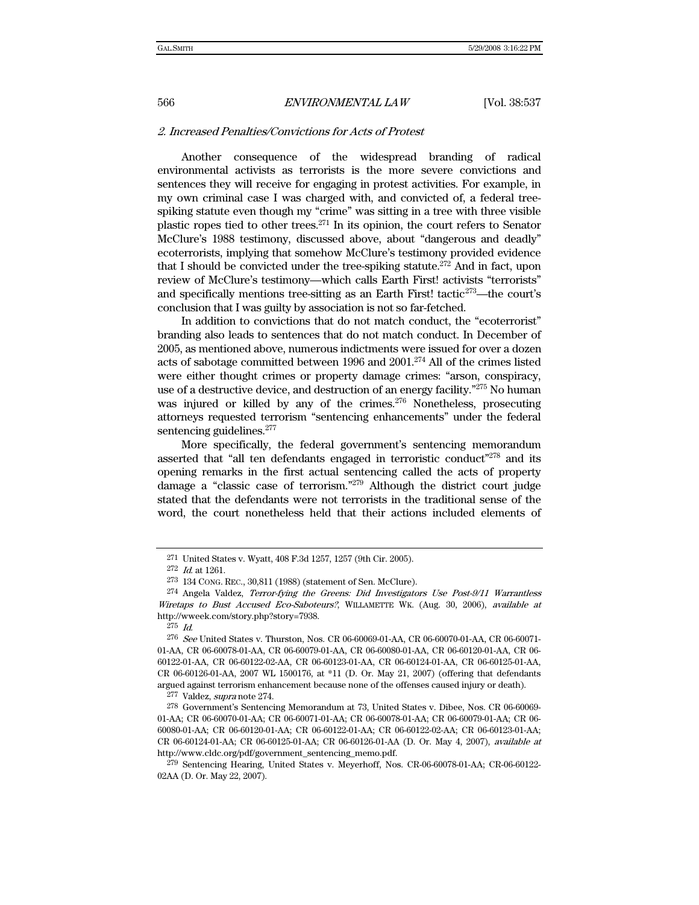#### 2. Increased Penalties/Convictions for Acts of Protest

Another consequence of the widespread branding of radical environmental activists as terrorists is the more severe convictions and sentences they will receive for engaging in protest activities. For example, in my own criminal case I was charged with, and convicted of, a federal treespiking statute even though my "crime" was sitting in a tree with three visible plastic ropes tied to other trees.271 In its opinion, the court refers to Senator McClure's 1988 testimony, discussed above, about "dangerous and deadly" ecoterrorists, implying that somehow McClure's testimony provided evidence that I should be convicted under the tree-spiking statute.<sup>272</sup> And in fact, upon review of McClure's testimony—which calls Earth First! activists "terrorists" and specifically mentions tree-sitting as an Earth First! tactic<sup>273</sup>—the court's conclusion that I was guilty by association is not so far-fetched.

In addition to convictions that do not match conduct, the "ecoterrorist" branding also leads to sentences that do not match conduct. In December of 2005, as mentioned above, numerous indictments were issued for over a dozen acts of sabotage committed between 1996 and 2001.274 All of the crimes listed were either thought crimes or property damage crimes: "arson, conspiracy, use of a destructive device, and destruction of an energy facility.<sup>"275</sup> No human was injured or killed by any of the crimes. $276$  Nonetheless, prosecuting attorneys requested terrorism "sentencing enhancements" under the federal sentencing guidelines. $277$ 

More specifically, the federal government's sentencing memorandum asserted that "all ten defendants engaged in terroristic conduct"<sup>278</sup> and its opening remarks in the first actual sentencing called the acts of property damage a "classic case of terrorism."279 Although the district court judge stated that the defendants were not terrorists in the traditional sense of the word, the court nonetheless held that their actions included elements of

<sup>271</sup> United States v. Wyatt, 408 F.3d 1257, 1257 (9th Cir. 2005).

<sup>272</sup> Id. at 1261.

<sup>273 134</sup> CONG. REC., 30,811 (1988) (statement of Sen. McClure).

<sup>274</sup> Angela Valdez, Terror-fying the Greens: Did Investigators Use Post-9/11 Warrantless Wiretaps to Bust Accused Eco-Saboteurs?, WILLAMETTE WK. (Aug. 30, 2006), available at http://wweek.com/story.php?story=7938.

<sup>275</sup> Id.

<sup>276</sup> See United States v. Thurston, Nos. CR 06-60069-01-AA, CR 06-60070-01-AA, CR 06-60071- 01-AA, CR 06-60078-01-AA, CR 06-60079-01-AA, CR 06-60080-01-AA, CR 06-60120-01-AA, CR 06- 60122-01-AA, CR 06-60122-02-AA, CR 06-60123-01-AA, CR 06-60124-01-AA, CR 06-60125-01-AA, CR 06-60126-01-AA, 2007 WL 1500176, at \*11 (D. Or. May 21, 2007) (offering that defendants argued against terrorism enhancement because none of the offenses caused injury or death).

<sup>277</sup> Valdez, supra note 274.

<sup>278</sup> Government's Sentencing Memorandum at 73, United States v. Dibee, Nos. CR 06-60069- 01-AA; CR 06-60070-01-AA; CR 06-60071-01-AA; CR 06-60078-01-AA; CR 06-60079-01-AA; CR 06- 60080-01-AA; CR 06-60120-01-AA; CR 06-60122-01-AA; CR 06-60122-02-AA; CR 06-60123-01-AA; CR 06-60124-01-AA; CR 06-60125-01-AA; CR 06-60126-01-AA (D. Or. May 4, 2007), available at http://www.cldc.org/pdf/government\_sentencing\_memo.pdf.

<sup>279</sup> Sentencing Hearing, United States v. Meyerhoff, Nos. CR-06-60078-01-AA; CR-06-60122- 02AA (D. Or. May 22, 2007).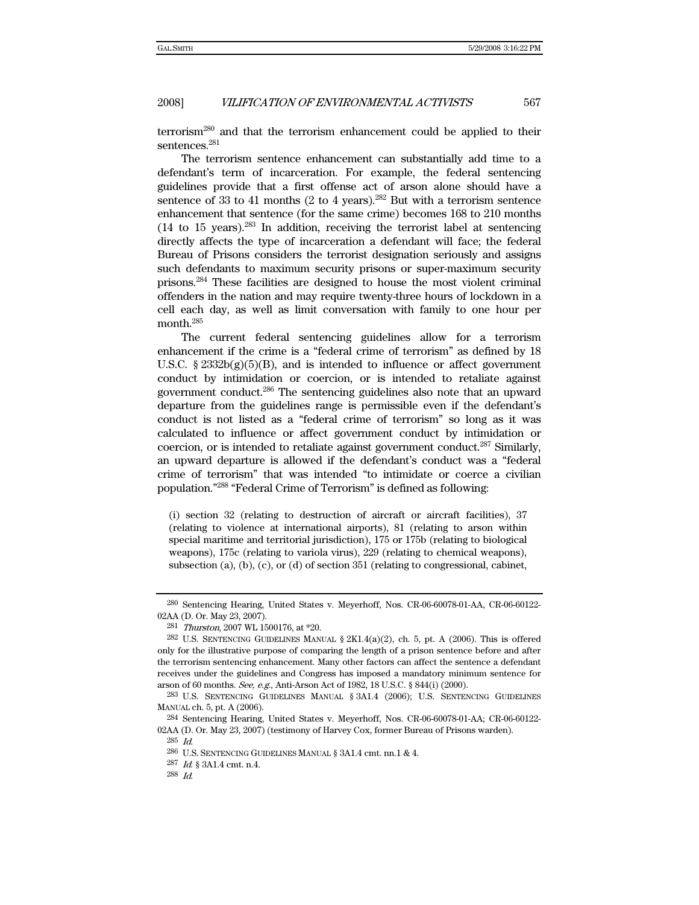terrorism280 and that the terrorism enhancement could be applied to their sentences.<sup>281</sup>

The terrorism sentence enhancement can substantially add time to a defendant's term of incarceration. For example, the federal sentencing guidelines provide that a first offense act of arson alone should have a sentence of 33 to 41 months (2 to 4 years).<sup>282</sup> But with a terrorism sentence enhancement that sentence (for the same crime) becomes 168 to 210 months (14 to 15 years).283 In addition, receiving the terrorist label at sentencing directly affects the type of incarceration a defendant will face; the federal Bureau of Prisons considers the terrorist designation seriously and assigns such defendants to maximum security prisons or super-maximum security prisons.284 These facilities are designed to house the most violent criminal offenders in the nation and may require twenty-three hours of lockdown in a cell each day, as well as limit conversation with family to one hour per month.285

The current federal sentencing guidelines allow for a terrorism enhancement if the crime is a "federal crime of terrorism" as defined by 18 U.S.C.  $\S 2332b(g)(5)(B)$ , and is intended to influence or affect government conduct by intimidation or coercion, or is intended to retaliate against government conduct.286 The sentencing guidelines also note that an upward departure from the guidelines range is permissible even if the defendant's conduct is not listed as a "federal crime of terrorism" so long as it was calculated to influence or affect government conduct by intimidation or coercion, or is intended to retaliate against government conduct.287 Similarly, an upward departure is allowed if the defendant's conduct was a "federal crime of terrorism" that was intended "to intimidate or coerce a civilian population."288 "Federal Crime of Terrorism" is defined as following:

(i) section 32 (relating to destruction of aircraft or aircraft facilities), 37 (relating to violence at international airports), 81 (relating to arson within special maritime and territorial jurisdiction), 175 or 175b (relating to biological weapons), 175c (relating to variola virus), 229 (relating to chemical weapons), subsection (a), (b), (c), or (d) of section 351 (relating to congressional, cabinet,

<sup>280</sup> Sentencing Hearing, United States v. Meyerhoff, Nos. CR-06-60078-01-AA, CR-06-60122- 02AA (D. Or. May 23, 2007).

<sup>281</sup> Thurston, 2007 WL 1500176, at \*20.

<sup>&</sup>lt;sup>282</sup> U.S. SENTENCING GUIDELINES MANUAL  $\S 2K1.4(a)(2)$ , ch. 5, pt. A (2006). This is offered only for the illustrative purpose of comparing the length of a prison sentence before and after the terrorism sentencing enhancement. Many other factors can affect the sentence a defendant receives under the guidelines and Congress has imposed a mandatory minimum sentence for arson of 60 months. See, e.g., Anti-Arson Act of 1982, 18 U.S.C. § 844(i) (2000).

<sup>283</sup> U.S. SENTENCING GUIDELINES MANUAL § 3A1.4 (2006); U.S. SENTENCING GUIDELINES MANUAL ch. 5, pt. A (2006).

<sup>284</sup> Sentencing Hearing, United States v. Meyerhoff, Nos. CR-06-60078-01-AA; CR-06-60122- 02AA (D. Or. May 23, 2007) (testimony of Harvey Cox, former Bureau of Prisons warden).

 $^{285}\,$   $ld.$ 

 $^{286}$  U.S. SENTENCING GUIDELINES MANUAL  $\S$  3A1.4 cmt. nn.1 & 4.

 $^{287}$   $\emph{Id}$   $\emph{§}$  3A1.4 cmt. n.4.

<sup>288</sup> Id.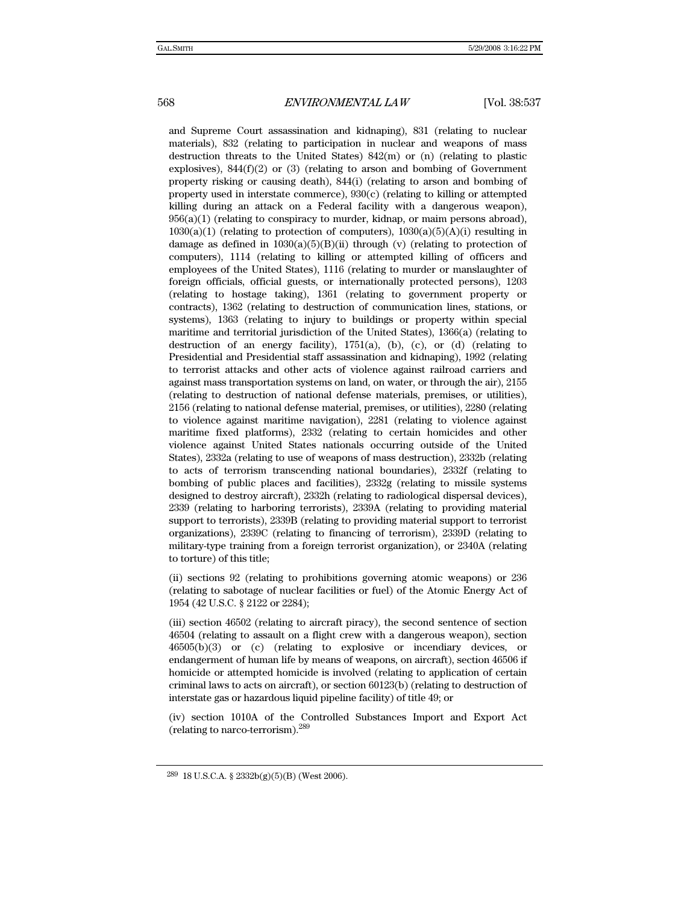and Supreme Court assassination and kidnaping), 831 (relating to nuclear materials), 832 (relating to participation in nuclear and weapons of mass destruction threats to the United States) 842(m) or (n) (relating to plastic explosives),  $844(f)(2)$  or  $(3)$  (relating to arson and bombing of Government property risking or causing death), 844(i) (relating to arson and bombing of property used in interstate commerce), 930(c) (relating to killing or attempted killing during an attack on a Federal facility with a dangerous weapon),  $956(a)(1)$  (relating to conspiracy to murder, kidnap, or maim persons abroad),  $1030(a)(1)$  (relating to protection of computers),  $1030(a)(5)(A)(i)$  resulting in damage as defined in  $1030(a)(5)(B)(ii)$  through (v) (relating to protection of computers), 1114 (relating to killing or attempted killing of officers and employees of the United States), 1116 (relating to murder or manslaughter of foreign officials, official guests, or internationally protected persons), 1203 (relating to hostage taking), 1361 (relating to government property or contracts), 1362 (relating to destruction of communication lines, stations, or systems), 1363 (relating to injury to buildings or property within special maritime and territorial jurisdiction of the United States), 1366(a) (relating to destruction of an energy facility), 1751(a), (b), (c), or (d) (relating to Presidential and Presidential staff assassination and kidnaping), 1992 (relating to terrorist attacks and other acts of violence against railroad carriers and against mass transportation systems on land, on water, or through the air), 2155 (relating to destruction of national defense materials, premises, or utilities), 2156 (relating to national defense material, premises, or utilities), 2280 (relating to violence against maritime navigation), 2281 (relating to violence against maritime fixed platforms), 2332 (relating to certain homicides and other violence against United States nationals occurring outside of the United States), 2332a (relating to use of weapons of mass destruction), 2332b (relating to acts of terrorism transcending national boundaries), 2332f (relating to bombing of public places and facilities), 2332g (relating to missile systems designed to destroy aircraft), 2332h (relating to radiological dispersal devices), 2339 (relating to harboring terrorists), 2339A (relating to providing material support to terrorists), 2339B (relating to providing material support to terrorist organizations), 2339C (relating to financing of terrorism), 2339D (relating to military-type training from a foreign terrorist organization), or 2340A (relating to torture) of this title;

(ii) sections 92 (relating to prohibitions governing atomic weapons) or 236 (relating to sabotage of nuclear facilities or fuel) of the Atomic Energy Act of 1954 (42 U.S.C. § 2122 or 2284);

(iii) section 46502 (relating to aircraft piracy), the second sentence of section 46504 (relating to assault on a flight crew with a dangerous weapon), section 46505(b)(3) or (c) (relating to explosive or incendiary devices, or endangerment of human life by means of weapons, on aircraft), section 46506 if homicide or attempted homicide is involved (relating to application of certain criminal laws to acts on aircraft), or section 60123(b) (relating to destruction of interstate gas or hazardous liquid pipeline facility) of title 49; or

(iv) section 1010A of the Controlled Substances Import and Export Act (relating to narco-terrorism).<sup>289</sup>

<sup>289 18</sup> U.S.C.A. § 2332b(g)(5)(B) (West 2006).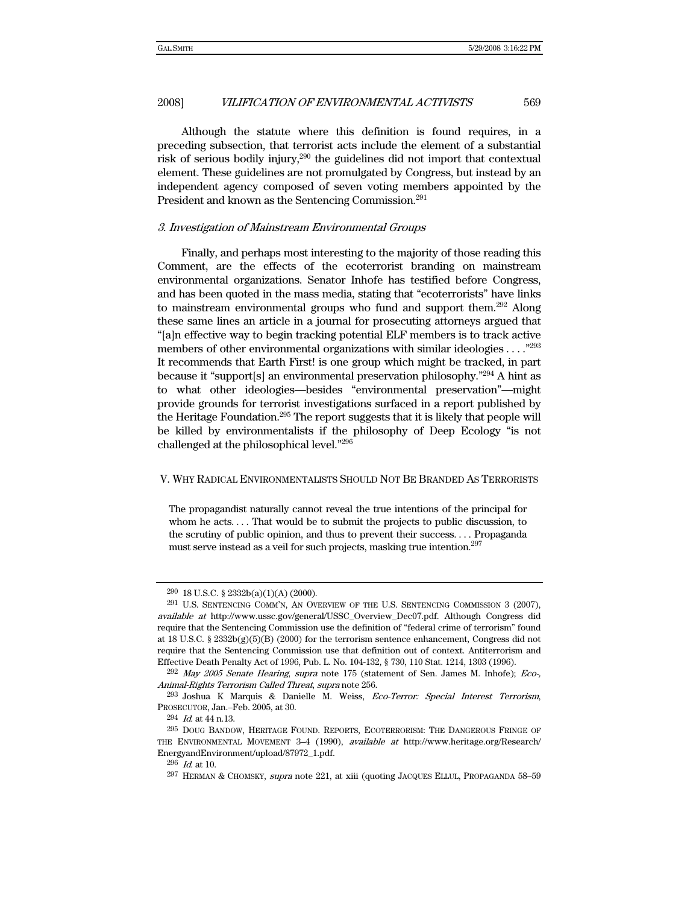Although the statute where this definition is found requires, in a preceding subsection, that terrorist acts include the element of a substantial risk of serious bodily injury,290 the guidelines did not import that contextual element. These guidelines are not promulgated by Congress, but instead by an independent agency composed of seven voting members appointed by the President and known as the Sentencing Commission.<sup>291</sup>

#### 3. Investigation of Mainstream Environmental Groups

Finally, and perhaps most interesting to the majority of those reading this Comment, are the effects of the ecoterrorist branding on mainstream environmental organizations. Senator Inhofe has testified before Congress, and has been quoted in the mass media, stating that "ecoterrorists" have links to mainstream environmental groups who fund and support them.292 Along these same lines an article in a journal for prosecuting attorneys argued that "[a]n effective way to begin tracking potential ELF members is to track active members of other environmental organizations with similar ideologies . . . ."293 It recommends that Earth First! is one group which might be tracked, in part because it "support[s] an environmental preservation philosophy."294 A hint as to what other ideologies—besides "environmental preservation"—might provide grounds for terrorist investigations surfaced in a report published by the Heritage Foundation.<sup>295</sup> The report suggests that it is likely that people will be killed by environmentalists if the philosophy of Deep Ecology "is not challenged at the philosophical level."296

#### V. WHY RADICAL ENVIRONMENTALISTS SHOULD NOT BE BRANDED AS TERRORISTS

The propagandist naturally cannot reveal the true intentions of the principal for whom he acts. . . . That would be to submit the projects to public discussion, to the scrutiny of public opinion, and thus to prevent their success. . . . Propaganda must serve instead as a veil for such projects, masking true intention.297

<sup>290 18</sup> U.S.C. § 2332b(a)(1)(A) (2000).

<sup>291</sup> U.S. SENTENCING COMM'N, AN OVERVIEW OF THE U.S. SENTENCING COMMISSION 3 (2007), available at http://www.ussc.gov/general/USSC\_Overview\_Dec07.pdf. Although Congress did require that the Sentencing Commission use the definition of "federal crime of terrorism" found at 18 U.S.C. § 2332b(g)(5)(B) (2000) for the terrorism sentence enhancement, Congress did not require that the Sentencing Commission use that definition out of context. Antiterrorism and Effective Death Penalty Act of 1996, Pub. L. No. 104-132, § 730, 110 Stat. 1214, 1303 (1996).

 $^{292}$  May 2005 Senate Hearing, supra note 175 (statement of Sen. James M. Inhofe); Eco-, Animal-Rights Terrorism Called Threat, supra note 256.

<sup>293</sup> Joshua K Marquis & Danielle M. Weiss, Eco-Terror: Special Interest Terrorism, PROSECUTOR, Jan.–Feb. 2005, at 30.

 $294$  *Id.* at 44 n.13.

<sup>295</sup> DOUG BANDOW, HERITAGE FOUND. REPORTS, ECOTERRORISM: THE DANGEROUS FRINGE OF THE ENVIRONMENTAL MOVEMENT 3–4 (1990), available at http://www.heritage.org/Research/ EnergyandEnvironment/upload/87972\_1.pdf.

 $296$  *Id.* at 10.

<sup>297</sup> HERMAN & CHOMSKY, supra note 221, at xiii (quoting JACQUES ELLUL, PROPAGANDA 58–59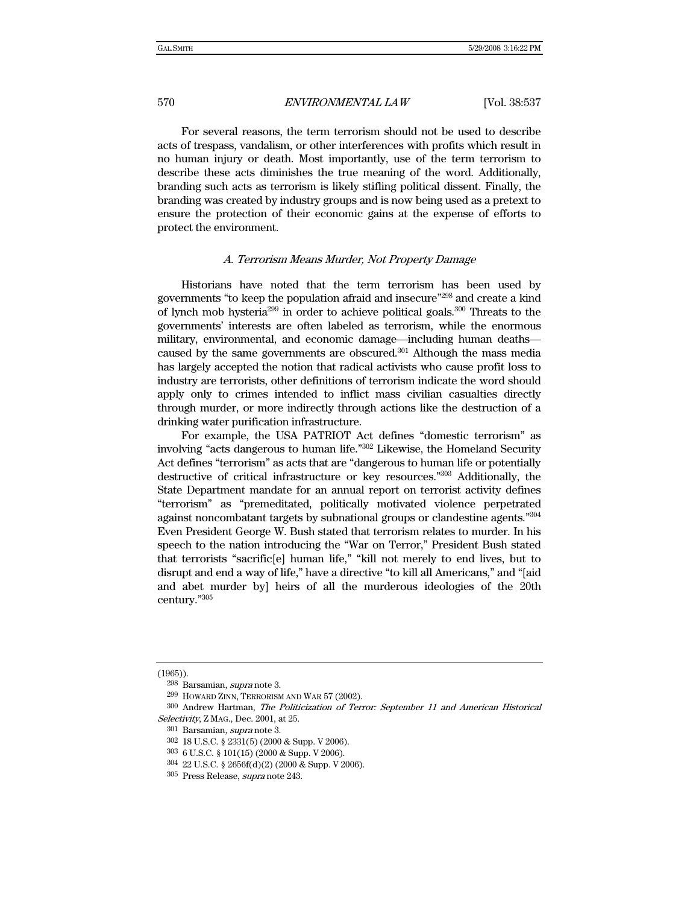For several reasons, the term terrorism should not be used to describe acts of trespass, vandalism, or other interferences with profits which result in no human injury or death. Most importantly, use of the term terrorism to describe these acts diminishes the true meaning of the word. Additionally, branding such acts as terrorism is likely stifling political dissent. Finally, the branding was created by industry groups and is now being used as a pretext to ensure the protection of their economic gains at the expense of efforts to protect the environment.

#### A. Terrorism Means Murder, Not Property Damage

Historians have noted that the term terrorism has been used by governments "to keep the population afraid and insecure"298 and create a kind of lynch mob hysteria<sup>299</sup> in order to achieve political goals.<sup>300</sup> Threats to the governments' interests are often labeled as terrorism, while the enormous military, environmental, and economic damage—including human deaths caused by the same governments are obscured.301 Although the mass media has largely accepted the notion that radical activists who cause profit loss to industry are terrorists, other definitions of terrorism indicate the word should apply only to crimes intended to inflict mass civilian casualties directly through murder, or more indirectly through actions like the destruction of a drinking water purification infrastructure.

For example, the USA PATRIOT Act defines "domestic terrorism" as involving "acts dangerous to human life."302 Likewise, the Homeland Security Act defines "terrorism" as acts that are "dangerous to human life or potentially destructive of critical infrastructure or key resources."303 Additionally, the State Department mandate for an annual report on terrorist activity defines "terrorism" as "premeditated, politically motivated violence perpetrated against noncombatant targets by subnational groups or clandestine agents."304 Even President George W. Bush stated that terrorism relates to murder. In his speech to the nation introducing the "War on Terror," President Bush stated that terrorists "sacrific[e] human life," "kill not merely to end lives, but to disrupt and end a way of life," have a directive "to kill all Americans," and "[aid and abet murder by] heirs of all the murderous ideologies of the 20th century."305

<sup>(1965)).</sup> 

<sup>298</sup> Barsamian, supra note 3.

<sup>299</sup> HOWARD ZINN, TERRORISM AND WAR 57 (2002).

<sup>300</sup> Andrew Hartman, The Politicization of Terror: September 11 and American Historical Selectivity, Z MAG., Dec. 2001, at 25.

<sup>301</sup> Barsamian, supra note 3.

<sup>302 18</sup> U.S.C. § 2331(5) (2000 & Supp. V 2006).

<sup>303 6</sup> U.S.C. § 101(15) (2000 & Supp. V 2006).

<sup>304 22</sup> U.S.C. § 2656f(d)(2) (2000 & Supp. V 2006).

<sup>305</sup> Press Release, supra note 243.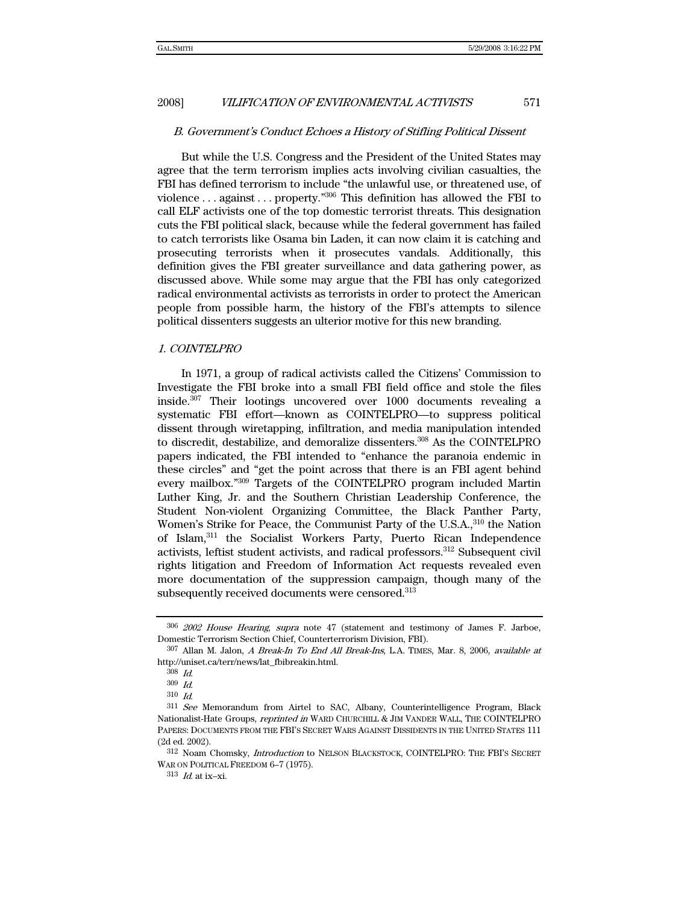#### B. Government's Conduct Echoes a History of Stifling Political Dissent

But while the U.S. Congress and the President of the United States may agree that the term terrorism implies acts involving civilian casualties, the FBI has defined terrorism to include "the unlawful use, or threatened use, of violence . . . against . . . property."306 This definition has allowed the FBI to call ELF activists one of the top domestic terrorist threats. This designation cuts the FBI political slack, because while the federal government has failed to catch terrorists like Osama bin Laden, it can now claim it is catching and prosecuting terrorists when it prosecutes vandals. Additionally, this definition gives the FBI greater surveillance and data gathering power, as discussed above. While some may argue that the FBI has only categorized radical environmental activists as terrorists in order to protect the American people from possible harm, the history of the FBI's attempts to silence political dissenters suggests an ulterior motive for this new branding.

#### 1. COINTELPRO

In 1971, a group of radical activists called the Citizens' Commission to Investigate the FBI broke into a small FBI field office and stole the files inside.307 Their lootings uncovered over 1000 documents revealing a systematic FBI effort—known as COINTELPRO—to suppress political dissent through wiretapping, infiltration, and media manipulation intended to discredit, destabilize, and demoralize dissenters.308 As the COINTELPRO papers indicated, the FBI intended to "enhance the paranoia endemic in these circles" and "get the point across that there is an FBI agent behind every mailbox."309 Targets of the COINTELPRO program included Martin Luther King, Jr. and the Southern Christian Leadership Conference, the Student Non-violent Organizing Committee, the Black Panther Party, Women's Strike for Peace, the Communist Party of the U.S.A.,<sup>310</sup> the Nation of Islam,311 the Socialist Workers Party, Puerto Rican Independence activists, leftist student activists, and radical professors.312 Subsequent civil rights litigation and Freedom of Information Act requests revealed even more documentation of the suppression campaign, though many of the subsequently received documents were censored.313

<sup>306</sup> 2002 House Hearing, supra note 47 (statement and testimony of James F. Jarboe, Domestic Terrorism Section Chief, Counterterrorism Division, FBI).

<sup>307</sup> Allan M. Jalon, A Break-In To End All Break-Ins, L.A. TIMES, Mar. 8, 2006, available at http://uniset.ca/terr/news/lat\_fbibreakin.html.

<sup>308</sup> Id.

 $309\,$   $Id.$ 

<sup>310</sup> Id.

<sup>&</sup>lt;sup>311</sup> See Memorandum from Airtel to SAC, Albany, Counterintelligence Program, Black Nationalist-Hate Groups, reprinted in WARD CHURCHILL & JIM VANDER WALL, THE COINTELPRO PAPERS: DOCUMENTS FROM THE FBI'S SECRET WARS AGAINST DISSIDENTS IN THE UNITED STATES 111 (2d ed. 2002).

<sup>312</sup> Noam Chomsky, Introduction to NELSON BLACKSTOCK, COINTELPRO: THE FBI'S SECRET WAR ON POLITICAL FREEDOM 6–7 (1975).

 $313$  *Id.* at ix-xi.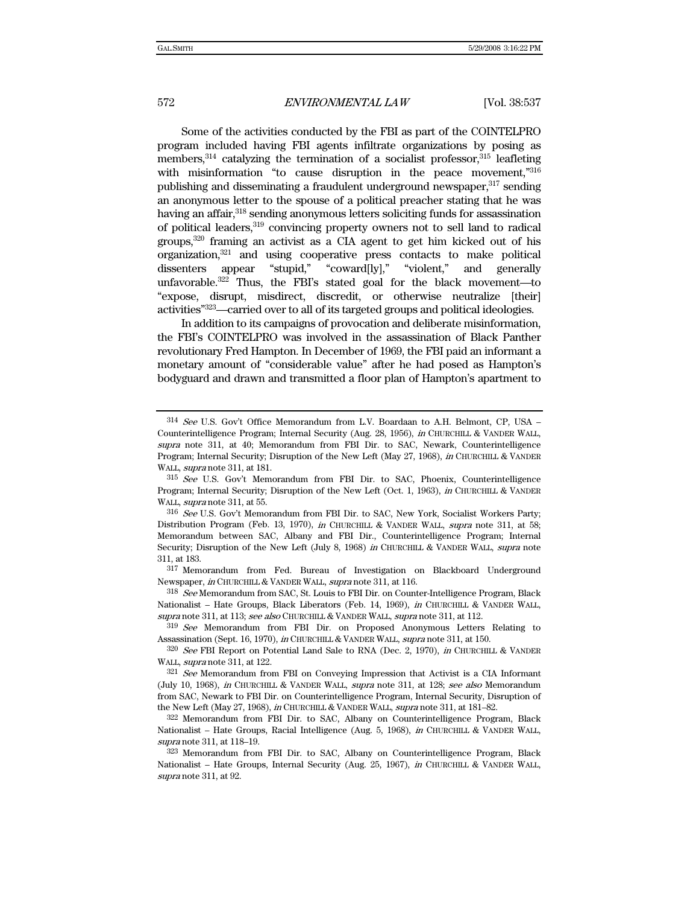Some of the activities conducted by the FBI as part of the COINTELPRO program included having FBI agents infiltrate organizations by posing as members,  $314$  catalyzing the termination of a socialist professor,  $315$  leafleting with misinformation "to cause disruption in the peace movement,"316 publishing and disseminating a fraudulent underground newspaper,<sup>317</sup> sending an anonymous letter to the spouse of a political preacher stating that he was having an affair,<sup>318</sup> sending anonymous letters soliciting funds for assassination of political leaders,319 convincing property owners not to sell land to radical groups,320 framing an activist as a CIA agent to get him kicked out of his organization, $321$  and using cooperative press contacts to make political dissenters appear "stupid," "coward[ly]," "violent," and generally unfavorable.<sup>322</sup> Thus, the FBI's stated goal for the black movement—to "expose, disrupt, misdirect, discredit, or otherwise neutralize [their] activities"323—carried over to all of its targeted groups and political ideologies.

In addition to its campaigns of provocation and deliberate misinformation, the FBI's COINTELPRO was involved in the assassination of Black Panther revolutionary Fred Hampton. In December of 1969, the FBI paid an informant a monetary amount of "considerable value" after he had posed as Hampton's bodyguard and drawn and transmitted a floor plan of Hampton's apartment to

318 See Memorandum from SAC, St. Louis to FBI Dir. on Counter-Intelligence Program, Black Nationalist - Hate Groups, Black Liberators (Feb. 14, 1969), in CHURCHILL & VANDER WALL, supra note 311, at 113; see also CHURCHILL & VANDER WALL, supra note 311, at 112.

<sup>314</sup> See U.S. Gov't Office Memorandum from L.V. Boardaan to A.H. Belmont, CP, USA – Counterintelligence Program; Internal Security (Aug. 28, 1956), in CHURCHILL & VANDER WALL, supra note 311, at 40; Memorandum from FBI Dir. to SAC, Newark, Counterintelligence Program; Internal Security; Disruption of the New Left (May 27, 1968), in CHURCHILL & VANDER WALL, *supra* note 311, at 181.

<sup>315</sup> See U.S. Gov't Memorandum from FBI Dir. to SAC, Phoenix, Counterintelligence Program; Internal Security; Disruption of the New Left (Oct. 1, 1963), in CHURCHILL & VANDER WALL, *supra* note 311, at 55.

<sup>316</sup> See U.S. Gov't Memorandum from FBI Dir. to SAC, New York, Socialist Workers Party; Distribution Program (Feb. 13, 1970), in CHURCHILL & VANDER WALL, supra note 311, at 58; Memorandum between SAC, Albany and FBI Dir., Counterintelligence Program; Internal Security; Disruption of the New Left (July 8, 1968) in CHURCHILL & VANDER WALL, supra note 311, at 183.

<sup>317</sup> Memorandum from Fed. Bureau of Investigation on Blackboard Underground Newspaper, in CHURCHILL & VANDER WALL, supra note 311, at 116.

<sup>319</sup> See Memorandum from FBI Dir. on Proposed Anonymous Letters Relating to Assassination (Sept. 16, 1970), in CHURCHILL & VANDER WALL, supra note 311, at 150.

<sup>320</sup> See FBI Report on Potential Land Sale to RNA (Dec. 2, 1970), in CHURCHILL & VANDER WALL, *supra* note 311, at 122.

 $321$  See Memorandum from FBI on Conveying Impression that Activist is a CIA Informant (July 10, 1968), in CHURCHILL & VANDER WALL, supra note 311, at 128; see also Memorandum from SAC, Newark to FBI Dir. on Counterintelligence Program, Internal Security, Disruption of the New Left (May 27, 1968), in CHURCHILL & VANDER WALL, supra note 311, at 181-82.

<sup>322</sup> Memorandum from FBI Dir. to SAC, Albany on Counterintelligence Program, Black Nationalist – Hate Groups, Racial Intelligence (Aug. 5, 1968), in CHURCHILL & VANDER WALL, supra note 311, at 118–19.

<sup>323</sup> Memorandum from FBI Dir. to SAC, Albany on Counterintelligence Program, Black Nationalist – Hate Groups, Internal Security (Aug. 25, 1967), in CHURCHILL & VANDER WALL, supra note 311, at 92.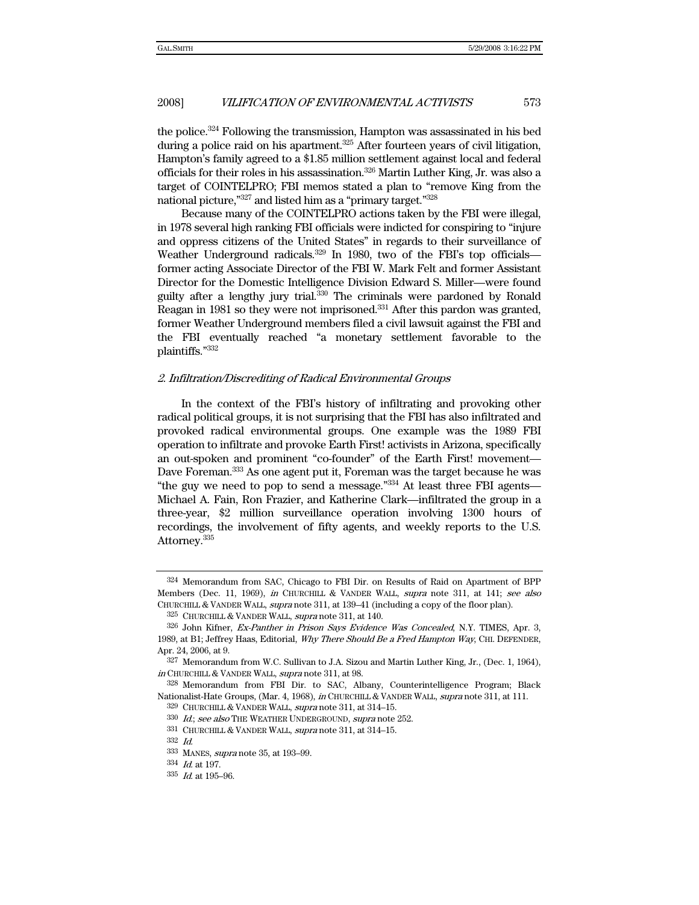the police.324 Following the transmission, Hampton was assassinated in his bed during a police raid on his apartment.<sup>325</sup> After fourteen years of civil litigation, Hampton's family agreed to a \$1.85 million settlement against local and federal officials for their roles in his assassination.326 Martin Luther King, Jr. was also a target of COINTELPRO; FBI memos stated a plan to "remove King from the national picture,"327 and listed him as a "primary target."328

Because many of the COINTELPRO actions taken by the FBI were illegal, in 1978 several high ranking FBI officials were indicted for conspiring to "injure and oppress citizens of the United States" in regards to their surveillance of Weather Underground radicals.<sup>329</sup> In 1980, two of the FBI's top officialsformer acting Associate Director of the FBI W. Mark Felt and former Assistant Director for the Domestic Intelligence Division Edward S. Miller—were found guilty after a lengthy jury trial.<sup>330</sup> The criminals were pardoned by Ronald Reagan in 1981 so they were not imprisoned.<sup>331</sup> After this pardon was granted, former Weather Underground members filed a civil lawsuit against the FBI and the FBI eventually reached "a monetary settlement favorable to the plaintiffs."332

### 2. Infiltration/Discrediting of Radical Environmental Groups

In the context of the FBI's history of infiltrating and provoking other radical political groups, it is not surprising that the FBI has also infiltrated and provoked radical environmental groups. One example was the 1989 FBI operation to infiltrate and provoke Earth First! activists in Arizona, specifically an out-spoken and prominent "co-founder" of the Earth First! movement— Dave Foreman.<sup>333</sup> As one agent put it, Foreman was the target because he was "the guy we need to pop to send a message." $334$  At least three FBI agents— Michael A. Fain, Ron Frazier, and Katherine Clark—infiltrated the group in a three-year, \$2 million surveillance operation involving 1300 hours of recordings, the involvement of fifty agents, and weekly reports to the U.S. Attorney.<sup>335</sup>

<sup>324</sup> Memorandum from SAC, Chicago to FBI Dir. on Results of Raid on Apartment of BPP Members (Dec. 11, 1969), in CHURCHILL & VANDER WALL, supra note 311, at 141; see also CHURCHILL & VANDER WALL, supra note 311, at 139–41 (including a copy of the floor plan).

<sup>325</sup> CHURCHILL & VANDER WALL, supra note 311, at 140.

<sup>326</sup> John Kifner, Ex-Panther in Prison Says Evidence Was Concealed, N.Y. TIMES, Apr. 3, 1989, at B1; Jeffrey Haas, Editorial, Why There Should Be a Fred Hampton Way, CHI. DEFENDER, Apr. 24, 2006, at 9.

<sup>327</sup> Memorandum from W.C. Sullivan to J.A. Sizou and Martin Luther King, Jr., (Dec. 1, 1964), in CHURCHILL & VANDER WALL, supra note 311, at 98.

<sup>328</sup> Memorandum from FBI Dir. to SAC, Albany, Counterintelligence Program; Black Nationalist-Hate Groups, (Mar. 4, 1968), in CHURCHILL & VANDER WALL, supra note 311, at 111.

<sup>&</sup>lt;sup>329</sup> CHURCHILL & VANDER WALL, *supra* note 311, at 314–15.

<sup>330</sup> Id.; see also THE WEATHER UNDERGROUND, supra note 252.

<sup>331</sup> CHURCHILL & VANDER WALL, supra note 311, at 314-15.

<sup>332</sup> Id.

<sup>333</sup> MANES, supra note 35, at 193–99.

<sup>334</sup> Id. at 197.

 $335$  *Id.* at 195-96.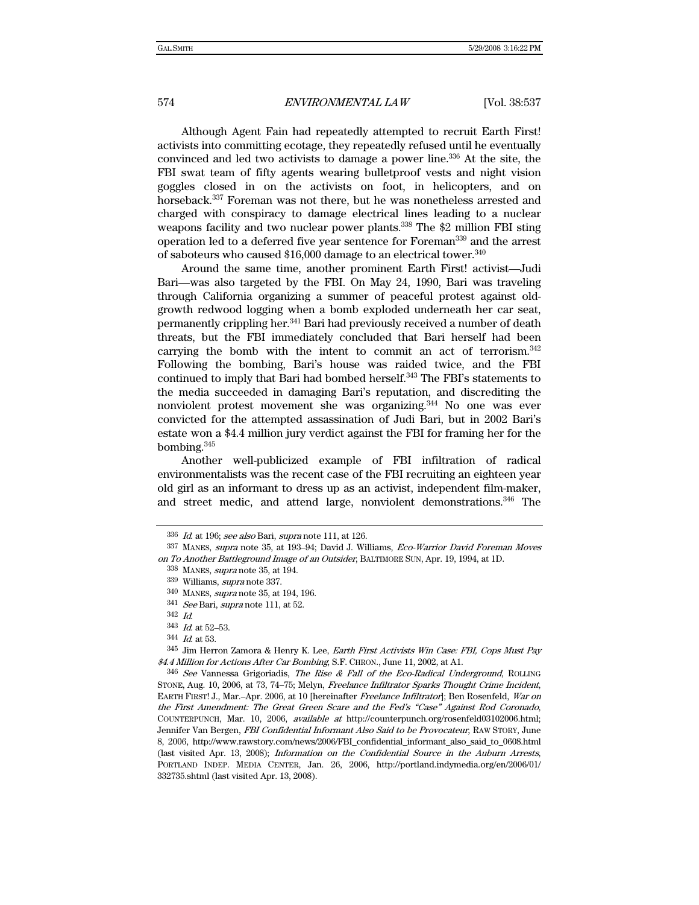Although Agent Fain had repeatedly attempted to recruit Earth First! activists into committing ecotage, they repeatedly refused until he eventually convinced and led two activists to damage a power line.336 At the site, the FBI swat team of fifty agents wearing bulletproof vests and night vision goggles closed in on the activists on foot, in helicopters, and on horseback.337 Foreman was not there, but he was nonetheless arrested and charged with conspiracy to damage electrical lines leading to a nuclear weapons facility and two nuclear power plants.<sup>338</sup> The \$2 million FBI sting operation led to a deferred five year sentence for Foreman339 and the arrest of saboteurs who caused \$16,000 damage to an electrical tower.340

Around the same time, another prominent Earth First! activist—Judi Bari—was also targeted by the FBI. On May 24, 1990, Bari was traveling through California organizing a summer of peaceful protest against oldgrowth redwood logging when a bomb exploded underneath her car seat, permanently crippling her.341 Bari had previously received a number of death threats, but the FBI immediately concluded that Bari herself had been carrying the bomb with the intent to commit an act of terrorism.342 Following the bombing, Bari's house was raided twice, and the FBI continued to imply that Bari had bombed herself.<sup>343</sup> The FBI's statements to the media succeeded in damaging Bari's reputation, and discrediting the nonviolent protest movement she was organizing.344 No one was ever convicted for the attempted assassination of Judi Bari, but in 2002 Bari's estate won a \$4.4 million jury verdict against the FBI for framing her for the bombing.345

Another well-publicized example of FBI infiltration of radical environmentalists was the recent case of the FBI recruiting an eighteen year old girl as an informant to dress up as an activist, independent film-maker, and street medic, and attend large, nonviolent demonstrations.<sup>346</sup> The

 $336$  *Id.* at 196; see also Bari, supra note 111, at 126.

<sup>337</sup> MANES, supra note 35, at 193–94; David J. Williams, Eco-Warrior David Foreman Moves on To Another Battleground Image of an Outsider, BALTIMORE SUN, Apr. 19, 1994, at 1D.

<sup>338</sup> MANES, supra note 35, at 194.

<sup>339</sup> Williams, supra note 337.

<sup>340</sup> MANES, supra note 35, at 194, 196.

<sup>341</sup> See Bari, supra note 111, at 52.

<sup>342</sup> Id.

<sup>343</sup> Id. at 52–53.

<sup>344</sup> Id. at 53.

<sup>345</sup> Jim Herron Zamora & Henry K. Lee, Earth First Activists Win Case: FBI, Cops Must Pay \$4.4 Million for Actions After Car Bombing, S.F. CHRON., June 11, 2002, at A1.

<sup>346</sup> See Vannessa Grigoriadis, The Rise & Fall of the Eco-Radical Underground, ROLLING STONE, Aug. 10, 2006, at 73, 74–75; Melyn, Freelance Infiltrator Sparks Thought Crime Incident, EARTH FIRST! J., Mar.–Apr. 2006, at 10 [hereinafter Freelance Infiltrator]; Ben Rosenfeld, War on the First Amendment: The Great Green Scare and the Fed's "Case" Against Rod Coronado, COUNTERPUNCH, Mar. 10, 2006, available at http://counterpunch.org/rosenfeld03102006.html; Jennifer Van Bergen, FBI Confidential Informant Also Said to be Provocateur, RAW STORY, June 8, 2006, http://www.rawstory.com/news/2006/FBI\_confidential\_informant\_also\_said\_to\_0608.html (last visited Apr. 13, 2008); Information on the Confidential Source in the Auburn Arrests, PORTLAND INDEP. MEDIA CENTER, Jan. 26, 2006, http://portland.indymedia.org/en/2006/01/ 332735.shtml (last visited Apr. 13, 2008).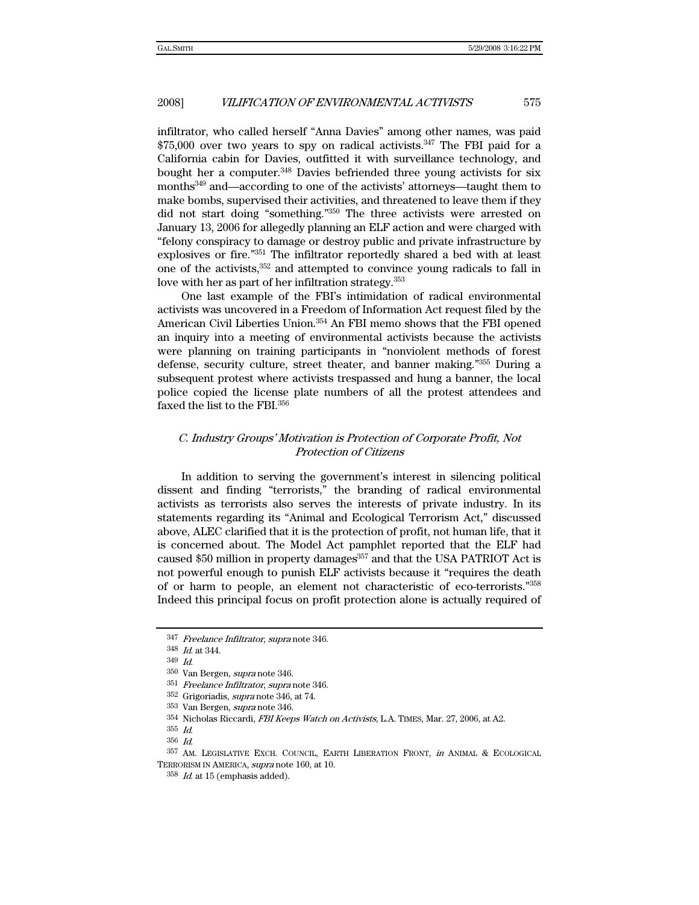infiltrator, who called herself "Anna Davies" among other names, was paid  $$75,000$  over two years to spy on radical activists.<sup>347</sup> The FBI paid for a California cabin for Davies, outfitted it with surveillance technology, and bought her a computer.<sup>348</sup> Davies befriended three young activists for six months349 and—according to one of the activists' attorneys—taught them to make bombs, supervised their activities, and threatened to leave them if they did not start doing "something."350 The three activists were arrested on January 13, 2006 for allegedly planning an ELF action and were charged with "felony conspiracy to damage or destroy public and private infrastructure by explosives or fire."351 The infiltrator reportedly shared a bed with at least one of the activists,352 and attempted to convince young radicals to fall in love with her as part of her infiltration strategy.353

One last example of the FBI's intimidation of radical environmental activists was uncovered in a Freedom of Information Act request filed by the American Civil Liberties Union.354 An FBI memo shows that the FBI opened an inquiry into a meeting of environmental activists because the activists were planning on training participants in "nonviolent methods of forest defense, security culture, street theater, and banner making."355 During a subsequent protest where activists trespassed and hung a banner, the local police copied the license plate numbers of all the protest attendees and faxed the list to the FBI.<sup>356</sup>

## C. Industry Groups' Motivation is Protection of Corporate Profit, Not Protection of Citizens

In addition to serving the government's interest in silencing political dissent and finding "terrorists," the branding of radical environmental activists as terrorists also serves the interests of private industry. In its statements regarding its "Animal and Ecological Terrorism Act," discussed above, ALEC clarified that it is the protection of profit, not human life, that it is concerned about. The Model Act pamphlet reported that the ELF had caused \$50 million in property damages<sup>357</sup> and that the USA PATRIOT Act is not powerful enough to punish ELF activists because it "requires the death of or harm to people, an element not characteristic of eco-terrorists."358 Indeed this principal focus on profit protection alone is actually required of

<sup>347</sup> Freelance Infiltrator, supra note 346.

 $^{348}$   $\emph{Id.}$  at 344.

<sup>349</sup> Id.

<sup>350</sup> Van Bergen, supra note 346.

<sup>351</sup> Freelance Infiltrator, supra note 346.

<sup>352</sup> Grigoriadis, supra note 346, at 74.

<sup>353</sup> Van Bergen, supra note 346.

<sup>354</sup> Nicholas Riccardi, FBI Keeps Watch on Activists, L.A. TIMES, Mar. 27, 2006, at A2.

<sup>355</sup> Id.

<sup>356</sup> Id.

<sup>357</sup> AM. LEGISLATIVE EXCH. COUNCIL, EARTH LIBERATION FRONT, in ANIMAL & ECOLOGICAL TERRORISM IN AMERICA, supra note 160, at 10.

 $358$  *Id.* at 15 (emphasis added).